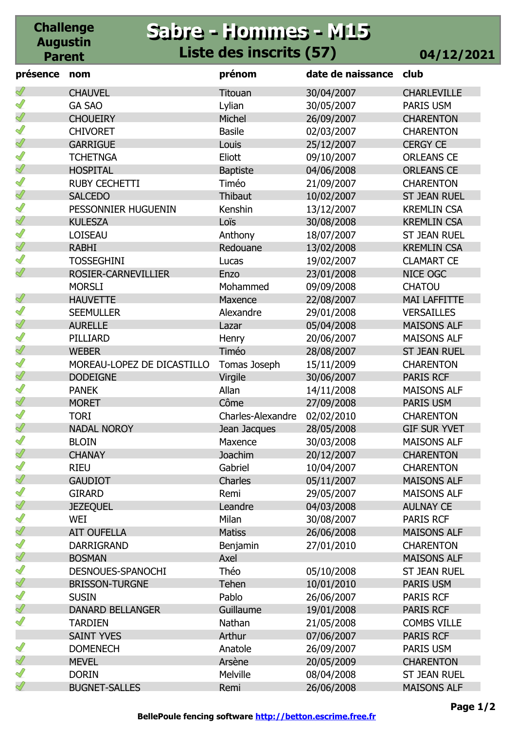## **Sabre - Hommes - M15 Sabre - Hommes - M15 Liste des inscrits (57) 04/12/2021**

**Challenge Augustin Parent**

| présence      | nom                        | prénom                   | date de naissance | club                |
|---------------|----------------------------|--------------------------|-------------------|---------------------|
|               | <b>CHAUVEL</b>             | Titouan                  | 30/04/2007        | <b>CHARLEVILLE</b>  |
| Ĭ             | <b>GA SAO</b>              | Lylian                   | 30/05/2007        | PARIS USM           |
| Ï             | <b>CHOUEIRY</b>            | Michel                   | 26/09/2007        | <b>CHARENTON</b>    |
| ℐ             | <b>CHIVORET</b>            | <b>Basile</b>            | 02/03/2007        | <b>CHARENTON</b>    |
| Ï             | <b>GARRIGUE</b>            | Louis                    | 25/12/2007        | <b>CERGY CE</b>     |
| Ĭ             | <b>TCHETNGA</b>            | Eliott                   | 09/10/2007        | <b>ORLEANS CE</b>   |
| ℐ             | <b>HOSPITAL</b>            | <b>Baptiste</b>          | 04/06/2008        | <b>ORLEANS CE</b>   |
| ℐ             | <b>RUBY CECHETTI</b>       | Timéo                    | 21/09/2007        | <b>CHARENTON</b>    |
| ℐ             | <b>SALCEDO</b>             | Thibaut                  | 10/02/2007        | <b>ST JEAN RUEL</b> |
| ℐ             | PESSONNIER HUGUENIN        | Kenshin                  | 13/12/2007        | <b>KREMLIN CSA</b>  |
| İ             | <b>KULESZA</b>             | Loïs                     | 30/08/2008        | <b>KREMLIN CSA</b>  |
| ℐ             | <b>LOISEAU</b>             | Anthony                  | 18/07/2007        | <b>ST JEAN RUEL</b> |
| ℐ             | <b>RABHI</b>               | Redouane                 | 13/02/2008        | <b>KREMLIN CSA</b>  |
| I             | <b>TOSSEGHINI</b>          | Lucas                    | 19/02/2007        | <b>CLAMART CE</b>   |
| Ï             | <b>ROSIER-CARNEVILLIER</b> | Enzo                     | 23/01/2008        | NICE OGC            |
|               | <b>MORSLI</b>              | Mohammed                 | 09/09/2008        | <b>CHATOU</b>       |
| ℐ             | <b>HAUVETTE</b>            | Maxence                  | 22/08/2007        | <b>MAI LAFFITTE</b> |
| ℐ             | <b>SEEMULLER</b>           | Alexandre                | 29/01/2008        | <b>VERSAILLES</b>   |
| Ï             | <b>AURELLE</b>             | Lazar                    | 05/04/2008        | <b>MAISONS ALF</b>  |
| ℐ             | PILLIARD                   | Henry                    | 20/06/2007        | <b>MAISONS ALF</b>  |
| ∜             | <b>WEBER</b>               | Timéo                    | 28/08/2007        | <b>ST JEAN RUEL</b> |
| ℐ             | MOREAU-LOPEZ DE DICASTILLO | Tomas Joseph             | 15/11/2009        | <b>CHARENTON</b>    |
| ℐ             | <b>DODEIGNE</b>            | Virgile                  | 30/06/2007        | <b>PARIS RCF</b>    |
| ∥             | <b>PANEK</b>               | Allan                    | 14/11/2008        | <b>MAISONS ALF</b>  |
| ∜             | <b>MORET</b>               | Côme                     | 27/09/2008        | <b>PARIS USM</b>    |
| ∥             | <b>TORI</b>                | <b>Charles-Alexandre</b> | 02/02/2010        | <b>CHARENTON</b>    |
| Ï             | <b>NADAL NOROY</b>         | Jean Jacques             | 28/05/2008        | <b>GIF SUR YVET</b> |
| S             | <b>BLOIN</b>               | Maxence                  | 30/03/2008        | <b>MAISONS ALF</b>  |
| $\mathscr{Q}$ | <b>CHANAY</b>              | Joachim                  | 20/12/2007        | <b>CHARENTON</b>    |
| Î             | <b>RIEU</b>                | Gabriel                  | 10/04/2007        | <b>CHARENTON</b>    |
| Ï             | <b>GAUDIOT</b>             | Charles                  | 05/11/2007        | <b>MAISONS ALF</b>  |
| I             | <b>GIRARD</b>              | Remi                     | 29/05/2007        | <b>MAISONS ALF</b>  |
| Ï             | <b>JEZEQUEL</b>            | Leandre                  | 04/03/2008        | <b>AULNAY CE</b>    |
| I             | WEI                        | Milan                    | 30/08/2007        | <b>PARIS RCF</b>    |
| $\mathscr{Q}$ | <b>AIT OUFELLA</b>         | <b>Matiss</b>            | 26/06/2008        | <b>MAISONS ALF</b>  |
| I             | <b>DARRIGRAND</b>          | Benjamin                 | 27/01/2010        | <b>CHARENTON</b>    |
| Ï             | <b>BOSMAN</b>              | Axel                     |                   | <b>MAISONS ALF</b>  |
| Ĭ             | DESNOUES-SPANOCHI          | Théo                     | 05/10/2008        | <b>ST JEAN RUEL</b> |
| ∜             | <b>BRISSON-TURGNE</b>      | <b>Tehen</b>             | 10/01/2010        | <b>PARIS USM</b>    |
| I             | <b>SUSIN</b>               | Pablo                    | 26/06/2007        | PARIS RCF           |
| $\mathscr{Q}$ | <b>DANARD BELLANGER</b>    | Guillaume                | 19/01/2008        | <b>PARIS RCF</b>    |
| I             | <b>TARDIEN</b>             | Nathan                   | 21/05/2008        | <b>COMBS VILLE</b>  |
|               | <b>SAINT YVES</b>          | Arthur                   | 07/06/2007        | <b>PARIS RCF</b>    |
| Ĭ             | <b>DOMENECH</b>            | Anatole                  | 26/09/2007        | PARIS USM           |
| Ï             | <b>MEVEL</b>               | Arsène                   | 20/05/2009        | <b>CHARENTON</b>    |
| I             | <b>DORIN</b>               | Melville                 | 08/04/2008        | <b>ST JEAN RUEL</b> |
| I             | <b>BUGNET-SALLES</b>       | Remi                     | 26/06/2008        | <b>MAISONS ALF</b>  |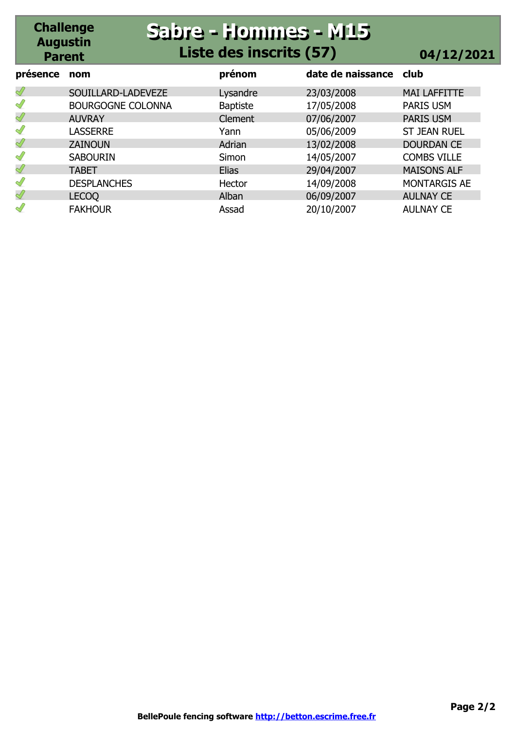#### **Challenge Augustin Parent Sabre - Hommes - M15 Sabre - Hommes - M15 Liste des inscrits (57) 04/12/2021**

| présence      | nom                      | prénom          | date de naissance club |                     |
|---------------|--------------------------|-----------------|------------------------|---------------------|
| $\mathscr{Q}$ | SOUILLARD-LADEVEZE       | Lysandre        | 23/03/2008             | <b>MAI LAFFITTE</b> |
| $\mathscr{Q}$ | <b>BOURGOGNE COLONNA</b> | <b>Baptiste</b> | 17/05/2008             | PARIS USM           |
| $\mathscr{Q}$ | <b>AUVRAY</b>            | <b>Clement</b>  | 07/06/2007             | <b>PARIS USM</b>    |
| Î             | <b>LASSERRE</b>          | Yann            | 05/06/2009             | <b>ST JEAN RUEL</b> |
| Ï             | <b>ZAINOUN</b>           | Adrian          | 13/02/2008             | <b>DOURDAN CE</b>   |
| $\mathscr{Q}$ | <b>SABOURIN</b>          | Simon           | 14/05/2007             | <b>COMBS VILLE</b>  |
| $\mathscr{Q}$ | <b>TABET</b>             | <b>Elias</b>    | 29/04/2007             | <b>MAISONS ALF</b>  |
| Î             | <b>DESPLANCHES</b>       | Hector          | 14/09/2008             | <b>MONTARGIS AE</b> |
| Ï             | <b>LECOQ</b>             | Alban           | 06/09/2007             | <b>AULNAY CE</b>    |
| I             | <b>FAKHOUR</b>           | Assad           | 20/10/2007             | <b>AULNAY CE</b>    |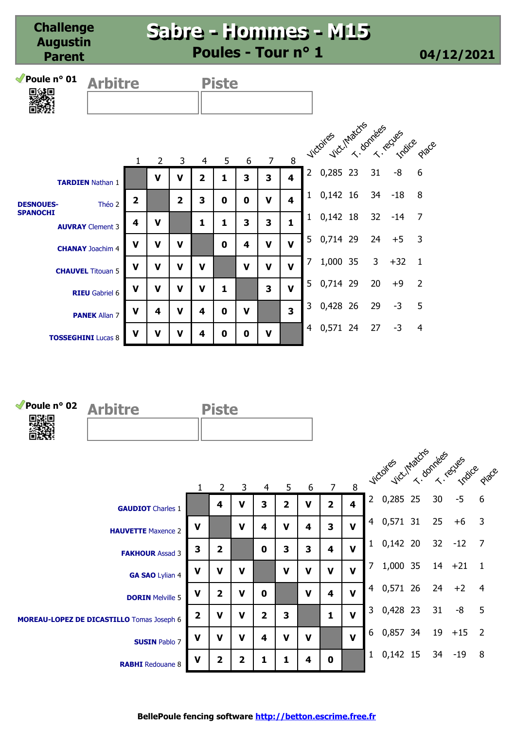| Poule nº 01<br>回波回 | <b>Arbitre</b>            |                |                |                         |                | <b>Piste</b> |             |                |                         |              |                              |    |       |                |
|--------------------|---------------------------|----------------|----------------|-------------------------|----------------|--------------|-------------|----------------|-------------------------|--------------|------------------------------|----|-------|----------------|
|                    |                           | $\mathbf{1}$   | $\overline{2}$ | 3                       | 4              | 5            | 6           | $\overline{7}$ | 8                       |              | vicoires cuntaches connectes |    |       |                |
|                    | <b>TARDIEN Nathan 1</b>   |                | V              | v                       | $\overline{2}$ | 1            | 3           | 3              | 4                       |              | 2 0,285 23                   | 31 | -8    | 6              |
| <b>DESNOUES-</b>   | Théo 2                    | $\overline{2}$ |                | $\overline{\mathbf{2}}$ | 3              | 0            | 0           | V              | 4                       | $\mathbf{1}$ | $0,142$ 16                   | 34 | $-18$ | 8              |
| <b>SPANOCHI</b>    | <b>AUVRAY</b> Clement 3   | 4              | ν              |                         | 1              | 1            | 3           | 3              | 1                       | 1            | $0,142$ 18                   | 32 | $-14$ | 7              |
|                    | <b>CHANAY</b> Joachim 4   | V              | v              | v                       |                | $\mathbf{0}$ | 4           | V              | $\mathbf{V}$            | 5            | 0,714 29                     | 24 | $+5$  | $\overline{3}$ |
|                    | <b>CHAUVEL</b> Titouan 5  | V              | v              | v                       | V              |              | V           | $\mathbf v$    | $\mathbf{V}$            | 7            | 1,000 35                     | 3  | $+32$ | 1              |
|                    | <b>RIEU</b> Gabriel 6     | V              | V              | $\mathbf v$             | $\mathbf v$    | 1            |             | 3              | $\mathbf{V}$            | 5.           | 0,714 29                     | 20 | $+9$  | $\overline{2}$ |
|                    | <b>PANEK Allan 7</b>      | V              | 4              | $\mathbf v$             | 4              | 0            | $\mathbf v$ |                | $\overline{\mathbf{3}}$ | 3            | 0,428 26                     | 29 | $-3$  | 5              |
|                    | <b>TOSSEGHINI Lucas 8</b> | $\mathbf v$    | V              | v                       | 4              | 0            | 0           | V              |                         | 4            | 0,571 24                     | 27 | $-3$  | 4              |



|                                                  |                         |                       |             |                |                |             |                |                         |                | victoires victimators rives eques |    |           |                          |
|--------------------------------------------------|-------------------------|-----------------------|-------------|----------------|----------------|-------------|----------------|-------------------------|----------------|-----------------------------------|----|-----------|--------------------------|
|                                                  |                         | $\mathbf{2}^{\prime}$ | 3           | 4              | 5              | 6           | 7 <sup>7</sup> | 8                       |                |                                   |    |           |                          |
| <b>GAUDIOT</b> Charles 1                         |                         | 4                     | v           | 3              | $\overline{2}$ | $\mathbf v$ | $\overline{2}$ | $\overline{\mathbf{4}}$ | $2^{\circ}$    | 0,285 25                          | 30 | $-5$      | $6\phantom{1}6$          |
| <b>HAUVETTE</b> Maxence 2                        | V                       |                       | $\mathbf v$ | 4              | $\mathbf v$    | 4           | 3              | $\mathbf{V}$            | 4              | 0,571 31                          | 25 | $+6$      | $\overline{3}$           |
| <b>FAKHOUR Assad 3</b>                           | 3                       | $\overline{2}$        |             | $\mathbf 0$    | 3              | 3           | 4              | $\mathbf v$             |                | $1\quad 0,142\quad 20$            |    | $32 - 12$ | $\overline{7}$           |
| GA SAO Lylian 4                                  | $\mathbf v$             | V                     | v           |                | $\mathbf v$    | V           | $\mathbf v$    | $\mathbf{V}$            | 7              | 1,000 35                          | 14 | $+21$     |                          |
| <b>DORIN</b> Melville 5                          | $\mathbf v$             | 2                     | $\mathbf v$ | $\mathbf 0$    |                | $\mathbf v$ | 4              | $\mathbf{V}$            | $\overline{4}$ | 0,571 26                          | 24 | $+2$      | $\overline{4}$           |
| <b>MOREAU-LOPEZ DE DICASTILLO</b> Tomas Joseph 6 | $\overline{\mathbf{2}}$ | $\mathbf v$           | V           | $\overline{2}$ | 3              |             | $\mathbf{1}$   | $\mathbf{V}$            |                | 3 0,428 23                        | 31 | -8        | -5                       |
| <b>SUSIN Pablo 7</b>                             | $\mathbf v$             | v                     | v           | 4              | $\mathbf v$    | v           |                | $\mathbf{V}$            | 6              | 0,857 34                          | 19 | $+15$     | $\overline{\phantom{0}}$ |
| <b>RABHI</b> Redouane 8                          | $\mathbf v$             | 2                     | 2           | 1              |                | 4           | $\mathbf 0$    |                         | $\mathbf{1}$   | $0,142$ 15                        | 34 | $-19$     | 8                        |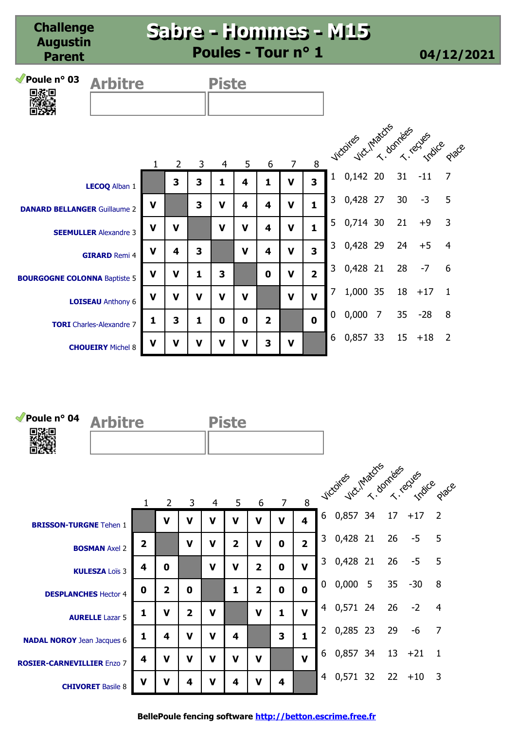#### **Sabre - Hommes - M15 Sabre - Hommes - M15 Poules - Tour n° 1 04/12/2021**

| Poule $n^{\circ}$ 03 | <b>Arbitre</b> | <b>Piste</b> |
|----------------------|----------------|--------------|
|                      |                |              |
|                      |                |              |
|                      |                |              |
|                      |                |              |

|                                     |             |                         |             |             |             |                |                |                |              | vicores ver hactes freed equals |                |    |       |                |
|-------------------------------------|-------------|-------------------------|-------------|-------------|-------------|----------------|----------------|----------------|--------------|---------------------------------|----------------|----|-------|----------------|
|                                     |             | $\overline{2}$          | 3           | 4           | 5           | 6              | $\overline{7}$ | 8              |              |                                 |                |    |       |                |
| LECOQ Alban 1                       |             | 3                       | 3           | 1           | 4           | 1              | $\mathbf v$    | 3              | 1            | 0,142                           | 20             | 31 | $-11$ | $\overline{7}$ |
| <b>DANARD BELLANGER Guillaume 2</b> | $\mathbf v$ |                         | 3           | $\mathbf v$ | 4           | 4              | $\mathbf v$    | $\mathbf{1}$   | 3            | 0,428 27                        |                | 30 | $-3$  | 5              |
| <b>SEEMULLER</b> Alexandre 3        | $\mathbf V$ | $\mathbf v$             |             | $\mathbf v$ | $\mathbf v$ | 4              | $\mathbf v$    | $\mathbf{1}$   | 5            | 0,714 30                        |                | 21 | $+9$  | 3              |
| <b>GIRARD Remi 4</b>                | $\mathbf V$ | $\overline{\mathbf{4}}$ | 3           |             | $\mathbf v$ | 4              | $\mathbf v$    | 3              | 3            | 0,428 29                        |                | 24 | $+5$  | $\overline{4}$ |
| <b>BOURGOGNE COLONNA Baptiste 5</b> | $\mathbf V$ | $\mathbf V$             | 1           | 3           |             | $\mathbf 0$    | $\mathbf v$    | $\overline{2}$ | $\mathbf{3}$ | 0,428 21                        |                | 28 | $-7$  | 6              |
| <b>LOISEAU</b> Anthony 6            | $\mathbf V$ | $\mathbf V$             | $\mathbf v$ | $\mathbf v$ | V           |                | $\mathbf V$    | $\mathbf v$    | 7            | 1,000 35                        |                | 18 | $+17$ | $\overline{1}$ |
| <b>TORI</b> Charles-Alexandre 7     | 1           | 3                       | 1           | 0           | $\mathbf 0$ | $\overline{2}$ |                | $\mathbf 0$    | $\mathbf 0$  | 0,000                           | $\overline{7}$ | 35 | $-28$ | 8              |
| <b>CHOUEIRY</b> Michel 8            | $\mathbf v$ | $\mathbf V$             | $\mathbf v$ | $\mathbf V$ | $\mathbf v$ | 3              | $\mathbf v$    |                | 6            | 0,857                           | 33             | 15 | $+18$ | $\overline{2}$ |



**BellePoule fencing software http://betton.escrime.free.fr**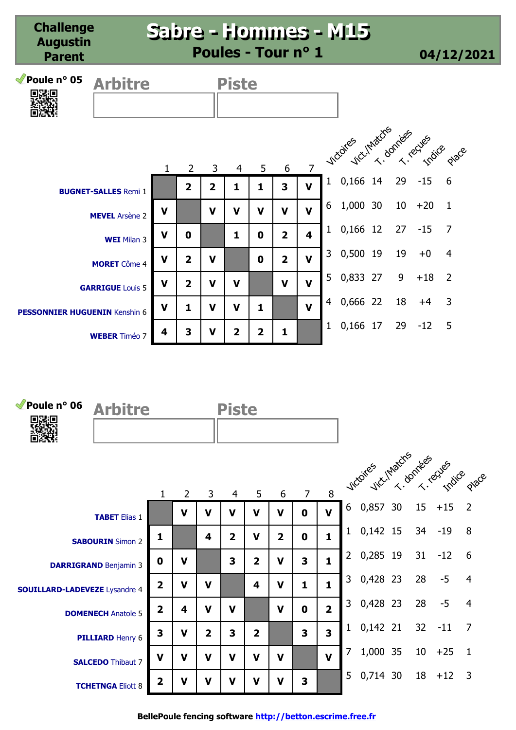**Challenge Augustin Parent Sabre - Hommes - M15 Sabre - Hommes - M15 Poules - Tour n° 1 04/12/2021 Poule n° 05 Arbitre Piste** 1 2 3 4 5 6 7 **2 2 1 1 3 V V V V V V V BUGNET-SALLES** Remi 1 **MEVEL** Arsène 2 1 0,166 14 29 -15 6 6 1,000 30 10 +20 1 victoires (1 Matchs Rives Cues dage

**V 0 1 0 2 4**

1 0,166 12 27 -15 7

3 0,500 19 19 +0 4

5 0,833 27 9 +18 2

4 0,666 22 18 +4 3

1 0,166 17 29 -12 5

**WEI** Milan 3

**MORET** Côme 4

**GARRIGUE** Louis 5

**WEBER** Timéo 7

**PESSONNIER HUGUENIN** Kenshin 6

**V 2 V 0 2 V**

**V 2 V V V V**

**V 1 V V 1 V**

**4 3 V 2 2 1**

| Poule $n^{\circ}$ 06<br>电磁电          | <b>Arbitre</b>               |                         |                |                | <b>Piste</b>   |                |                |             |                         |              |                               |                 |         |                |
|--------------------------------------|------------------------------|-------------------------|----------------|----------------|----------------|----------------|----------------|-------------|-------------------------|--------------|-------------------------------|-----------------|---------|----------------|
|                                      |                              | $\mathbf 1$             | $\overline{2}$ | 3              | 4              | 5              | 6              | $7^{\circ}$ | 8                       |              | vicoires intaction researches |                 |         |                |
|                                      | <b>TABET</b> Elias 1         |                         | $\mathbf v$    | $\mathbf v$    | $\mathbf v$    | $\mathbf v$    | $\mathbf v$    | $\mathbf 0$ | $\mathbf v$             | 6            | 0,857 30                      | 15              | $+15$   | $\overline{2}$ |
|                                      | <b>SABOURIN</b> Simon 2      | 1                       |                | 4              | $\overline{2}$ | $\mathbf v$    | $\overline{2}$ | $\mathbf 0$ | $\mathbf{1}$            | $\mathbf{1}$ | $0,142$ 15                    | 34              | $-19$   | 8              |
|                                      | <b>DARRIGRAND Benjamin 3</b> | $\mathbf 0$             | $\mathbf v$    |                | 3              | $\overline{2}$ | $\mathbf v$    | 3           | $\mathbf{1}$            | $2^{\circ}$  | 0,285 19                      | 31              | $-12$   | 6              |
| <b>SOUILLARD-LADEVEZE</b> Lysandre 4 |                              | $\overline{2}$          | $\mathbf v$    | $\mathbf v$    |                | 4              | V              | 1           | 1                       | 3            | 0,428 23                      | 28              | $-5$    | $\overline{4}$ |
|                                      | <b>DOMENECH Anatole 5</b>    | $\overline{\mathbf{2}}$ | 4              | $\mathbf v$    | $\mathbf v$    |                | $\mathbf v$    | $\mathbf 0$ | $\overline{2}$          | $\mathsf{3}$ | 0,428 23                      | 28              | $-5$    | $\overline{4}$ |
|                                      | <b>PILLIARD Henry 6</b>      | 3                       | $\mathbf v$    | $\overline{2}$ | 3              | $\overline{2}$ |                | 3           | $\overline{\mathbf{3}}$ | 1            | $0,142$ 21                    | 32              | $-11$   | 7              |
|                                      | <b>SALCEDO Thibaut 7</b>     | $\mathbf v$             | $\mathbf v$    | $\mathbf v$    | $\mathbf v$    | $\mathbf v$    | $\mathbf v$    |             | $\mathbf v$             | 7            | 1,000 35                      | 10 <sup>°</sup> | $+25$   | $\overline{1}$ |
|                                      | <b>TCHETNGA Eliott 8</b>     | $\overline{2}$          | $\mathbf v$    | $\mathbf v$    | $\mathbf v$    | $\mathbf v$    | $\mathbf v$    | 3           |                         | 5            | 0,714 30                      | 18              | $+12$ 3 |                |

**BellePoule fencing software http://betton.escrime.free.fr**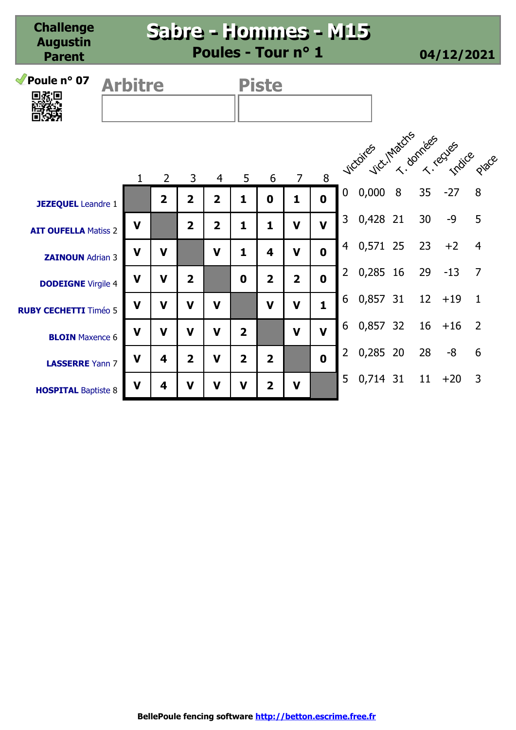| Poule nº 07<br>9然回                                   | <b>Arbitre</b> |              |                |                         |                |                | <b>Piste</b>            |                |              |                |                               |  |    |       |                |  |  |  |
|------------------------------------------------------|----------------|--------------|----------------|-------------------------|----------------|----------------|-------------------------|----------------|--------------|----------------|-------------------------------|--|----|-------|----------------|--|--|--|
|                                                      |                | $\mathbf{1}$ | $\overline{2}$ | 3                       | $\overline{4}$ | 5              | 6                       | $\overline{7}$ | 8            |                | victor vict. Matchs recessors |  |    |       |                |  |  |  |
| <b>JEZEQUEL</b> Leandre 1                            |                |              | $\overline{2}$ | $\overline{2}$          | $\overline{2}$ | 1              | $\mathbf 0$             | 1              | $\mathbf 0$  | $\mathbf 0$    | 0,0008                        |  | 35 | $-27$ | 8              |  |  |  |
| <b>AIT OUFELLA Matiss 2</b>                          |                | $\mathbf v$  |                | $\overline{2}$          | $\overline{2}$ | 1              | 1                       | V              | $\mathbf v$  | 3              | 0,428 21                      |  | 30 | $-9$  | 5              |  |  |  |
| <b>ZAINOUN</b> Adrian 3                              |                | $\mathbf v$  | $\mathbf v$    |                         | $\mathbf v$    | 1              | 4                       | V              | $\mathbf 0$  | $\overline{4}$ | 0,571 25                      |  | 23 | $+2$  | $\overline{4}$ |  |  |  |
| <b>DODEIGNE</b> Virgile 4                            |                | $\mathbf v$  | $\mathbf v$    | $\overline{\mathbf{2}}$ |                | $\mathbf 0$    | $\overline{2}$          | $\overline{2}$ | $\mathbf 0$  | $\overline{2}$ | 0,285 16                      |  | 29 | $-13$ | $\overline{7}$ |  |  |  |
| <b>RUBY CECHETTI Timéo 5</b>                         |                | $\mathbf v$  | $\mathbf v$    | $\mathbf v$             | V              |                | $\mathbf v$             | $\mathbf v$    | $\mathbf{1}$ | 6              | 0,857 31 12                   |  |    | $+19$ | $\mathbf{1}$   |  |  |  |
| <b>BLOIN</b> Maxence 6                               |                | $\mathbf v$  | $\mathbf v$    | $\mathbf v$             | V              | $\overline{2}$ |                         | $\mathbf v$    | $\mathbf v$  | 6              | 0,857 32                      |  | 16 | $+16$ | $\overline{2}$ |  |  |  |
|                                                      |                | $\mathbf v$  | 4              | $\overline{2}$          | $\mathbf v$    | $\overline{2}$ | $\overline{2}$          |                | $\mathbf 0$  | $\overline{2}$ | 0,285 20                      |  | 28 | -8    | 6              |  |  |  |
| <b>LASSERRE</b> Yann 7<br><b>HOSPITAL Baptiste 8</b> |                | V            | 4              | V                       | V              | V              | $\overline{\mathbf{2}}$ | V              |              | 5              | 0,714 31 11                   |  |    | $+20$ | 3              |  |  |  |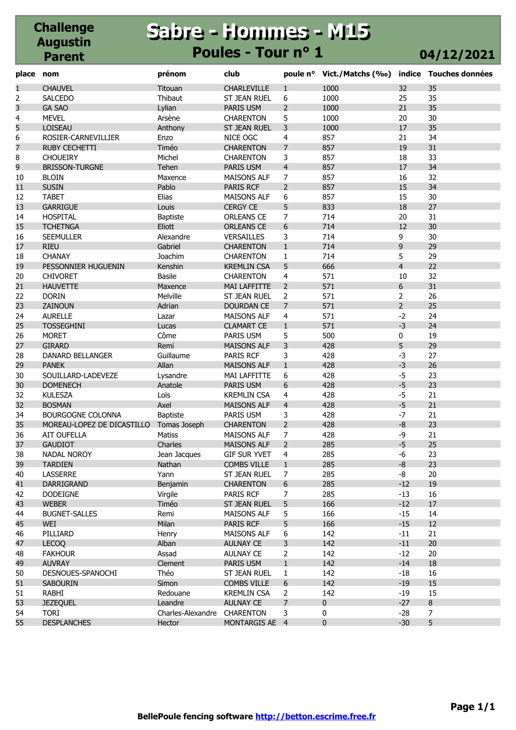#### **Challenge Augustin Parent Sabre - Hommes - M15 Sabre - Hommes - M15 Poules - Tour n° 1 04/12/2021**

| place          | nom                        | prénom            | club                |                | poule n° Vict./Matchs (%0) |                | indice Touches données |
|----------------|----------------------------|-------------------|---------------------|----------------|----------------------------|----------------|------------------------|
| $\mathbf{1}$   | <b>CHAUVEL</b>             | Titouan           | CHARLEVILLE         | $\mathbf{1}$   | 1000                       | 32             | 35                     |
| $\overline{2}$ | <b>SALCEDO</b>             | Thibaut           | ST JEAN RUEL        | 6              | 1000                       | 25             | 35                     |
| 3              | <b>GA SAO</b>              | Lylian            | PARIS USM           | $\overline{2}$ | 1000                       | 21             | 35                     |
| 4              | <b>MEVEL</b>               | Arsène            | <b>CHARENTON</b>    | 5              | 1000                       | 20             | 30                     |
| 5              | <b>LOISEAU</b>             | Anthony           | <b>ST JEAN RUEL</b> | 3              | 1000                       | 17             | 35                     |
| 6              | ROSIER-CARNEVILLIER        | Enzo              | NICE OGC            | 4              | 857                        | 21             | 34                     |
| $\overline{7}$ | <b>RUBY CECHETTI</b>       | Timéo             | <b>CHARENTON</b>    | $\overline{7}$ | 857                        | 19             | 31                     |
| 8              | <b>CHOUEIRY</b>            | Michel            | <b>CHARENTON</b>    | 3              | 857                        | 18             | 33                     |
| 9              | <b>BRISSON-TURGNE</b>      | Tehen             | PARIS USM           | $\overline{4}$ | 857                        | 17             | 34                     |
| 10             | <b>BLOIN</b>               | Maxence           | <b>MAISONS ALF</b>  | $\overline{7}$ | 857                        | 16             | 32                     |
| 11             | <b>SUSIN</b>               | Pablo             | <b>PARIS RCF</b>    | $\overline{2}$ | 857                        | 15             | 34                     |
| 12             | <b>TABET</b>               | Elias             | <b>MAISONS ALF</b>  | 6              | 857                        | 15             | 30                     |
| 13             | <b>GARRIGUE</b>            | Louis             | <b>CERGY CE</b>     | 5              | 833                        | 18             | 27                     |
| 14             | <b>HOSPITAL</b>            | Baptiste          | ORLEANS CE          | 7              | 714                        | 20             | 31                     |
| 15             | <b>TCHETNGA</b>            | Eliott            | <b>ORLEANS CE</b>   | 6              | 714                        | 12             | 30                     |
| 16             | <b>SEEMULLER</b>           | Alexandre         | VERSAILLES          | 3              | 714                        | 9              | 30                     |
| 17             | <b>RIEU</b>                | Gabriel           | <b>CHARENTON</b>    | $\mathbf{1}$   | 714                        | $\overline{9}$ | 29                     |
| 18             | <b>CHANAY</b>              | Joachim           | <b>CHARENTON</b>    | $\mathbf{1}$   | 714                        | 5              | 29                     |
| 19             | PESSONNIER HUGUENIN        | Kenshin           | <b>KREMLIN CSA</b>  | 5              | 666                        | $\overline{4}$ | 22                     |
| 20             | <b>CHIVORET</b>            | <b>Basile</b>     | <b>CHARENTON</b>    | 4              | 571                        | 10             | 32                     |
| 21             | <b>HAUVETTE</b>            | Maxence           | <b>MAI LAFFITTE</b> | $\overline{2}$ | 571                        | 6              | 31                     |
| 22             | <b>DORIN</b>               | Melville          | <b>ST JEAN RUEL</b> | $\overline{2}$ | 571                        | $\overline{2}$ | 26                     |
| 23             | <b>ZAINOUN</b>             | Adrian            | <b>DOURDAN CE</b>   | $\overline{7}$ | 571                        | $\overline{2}$ | 25                     |
| 24             | <b>AURELLE</b>             | Lazar             | <b>MAISONS ALF</b>  | 4              | 571                        | $-2$           | 24                     |
| 25             | <b>TOSSEGHINI</b>          | Lucas             | <b>CLAMART CE</b>   | $\mathbf{1}$   | 571                        | $-3$           | 24                     |
| 26             | <b>MORET</b>               | Côme              | PARIS USM           | 5              | 500                        | $\pmb{0}$      | 19                     |
| 27             | <b>GIRARD</b>              | Remi              | <b>MAISONS ALF</b>  | 3              | 428                        | 5              | 29                     |
| 28             | DANARD BELLANGER           | Guillaume         | PARIS RCF           | 3              | 428                        | $-3$           | 27                     |
| 29             | <b>PANEK</b>               | Allan             | <b>MAISONS ALF</b>  | $\mathbf{1}$   | 428                        | $-3$           | 26                     |
| 30             | SOUILLARD-LADEVEZE         | Lysandre          | MAI LAFFITTE        | 6              | 428                        | $-5$           | 23                     |
| 30             | <b>DOMENECH</b>            | Anatole           | PARIS USM           | 6              | 428                        | $-5$           | 23                     |
| 32             | <b>KULESZA</b>             | Loïs              | <b>KREMLIN CSA</b>  | 4              | 428                        | $-5$           | 21                     |
| 32             | <b>BOSMAN</b>              | Axel              | <b>MAISONS ALF</b>  | $\overline{4}$ | 428                        | $-5$           | 21                     |
| 34             | <b>BOURGOGNE COLONNA</b>   | <b>Baptiste</b>   | PARIS USM           | 3              | 428                        | $-7$           | 21                     |
| 35             | MOREAU-LOPEZ DE DICASTILLO | Tomas Joseph      | <b>CHARENTON</b>    | $\overline{2}$ | 428                        | $-8$           | 23                     |
| 36             | AIT OUFELLA                | Matiss            | <b>MAISONS ALF</b>  | $\overline{7}$ | 428                        | -9             | 21                     |
| 37             | <b>GAUDIOT</b>             | Charles           | <b>MAISONS ALF</b>  | $\overline{2}$ | 285                        | $-5$           | 25                     |
| 38             | <b>NADAL NOROY</b>         | Jean Jacques      | <b>GIF SUR YVET</b> | 4              | 285                        | -6             | 23                     |
| 39             | <b>TARDIEN</b>             | Nathan            | <b>COMBS VILLE</b>  | $\mathbf{1}$   | 285                        | $-8$           | 23                     |
| 40             | LASSERRE                   | Yann              | ST JEAN RUEL        | $\overline{7}$ | 285                        | -8             | 20                     |
| 41             | DARRIGRAND                 | Benjamin          | <b>CHARENTON</b>    | 6              | 285                        | $-12$          | 19                     |
| 42             | <b>DODEIGNE</b>            | Virgile           | PARIS RCF           | 7              | 285                        | $-13$          | 16                     |
| 43             | <b>WEBER</b>               | Timéo             | ST JEAN RUEL        | 5              | 166                        | $-12$          | 17                     |
| 44             | <b>BUGNET-SALLES</b>       | Remi              | <b>MAISONS ALF</b>  | 5              | 166                        | $-15$          | 14                     |
| 45             | WEI                        | Milan             | PARIS RCF           | 5              | 166                        | $-15$          | 12                     |
| 46             | PILLIARD                   | Henry             | MAISONS ALF         | 6              | 142                        | $-11$          | 21                     |
| 47             | <b>LECOQ</b>               | Alban             | <b>AULNAY CE</b>    | 3              | 142                        | $-11$          | 20                     |
| 48             | <b>FAKHOUR</b>             | Assad             | <b>AULNAY CE</b>    | 2              | 142                        | $-12$          | 20                     |
| 49             | <b>AUVRAY</b>              | Clement           | PARIS USM           | $\mathbf{1}$   | 142                        | $-14$          | 18                     |
| 50             | DESNOUES-SPANOCHI          | Théo              | ST JEAN RUEL        | $\mathbf{1}$   | 142                        | $-18$          | 16                     |
| 51             | <b>SABOURIN</b>            | Simon             | <b>COMBS VILLE</b>  | 6              | 142                        | $-19$          | 15                     |
| 51             | RABHI                      | Redouane          | <b>KREMLIN CSA</b>  | 2              | 142                        | $-19$          | 15                     |
| 53             | <b>JEZEQUEL</b>            | Leandre           | <b>AULNAY CE</b>    | $\overline{7}$ | $\mathbf{0}$               | $-27$          | 8                      |
| 54             | <b>TORI</b>                | Charles-Alexandre | <b>CHARENTON</b>    | 3              | 0                          | $-28$          | $\overline{7}$         |
| 55             | <b>DESPLANCHES</b>         | Hector            | MONTARGIS AE 4      |                | 0                          | $-30$          | 5                      |
|                |                            |                   |                     |                |                            |                |                        |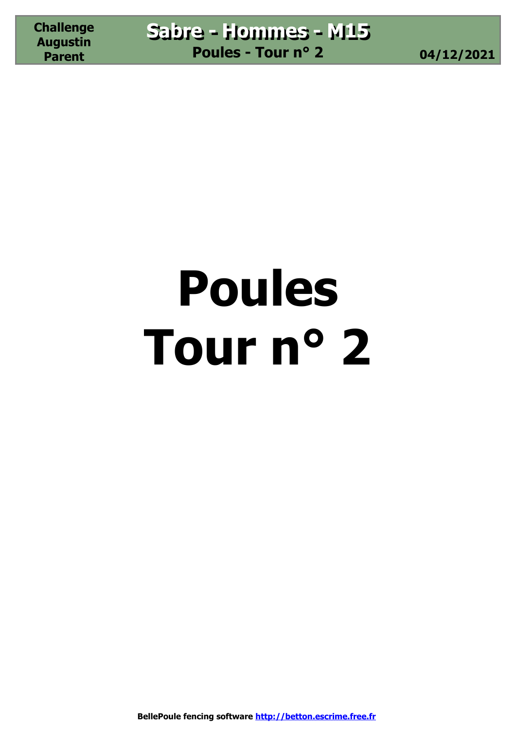# **Poules Tour n° 2**

**BellePoule fencing software http://betton.escrime.free.fr**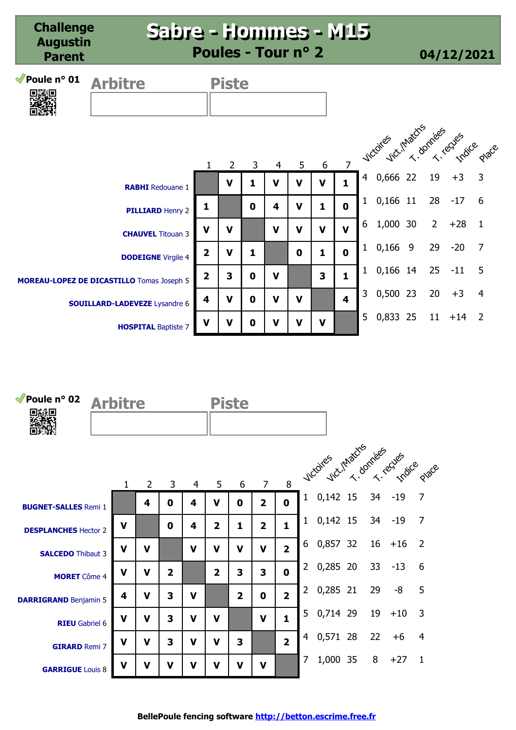| <i>M</i> Poule n° 01<br>興和県 | <b>Arbitre</b>                                   |                         | <b>Piste</b>   |             |             |             |             |                         |                |                                   |             |       |                |
|-----------------------------|--------------------------------------------------|-------------------------|----------------|-------------|-------------|-------------|-------------|-------------------------|----------------|-----------------------------------|-------------|-------|----------------|
|                             |                                                  | 1                       | $\overline{2}$ | 3           | 4           | 5           | 6           | $\overline{7}$          |                | victories victimators ander eques |             |       |                |
|                             | <b>RABHI</b> Redouane 1                          |                         | V              | 1           | $\mathbf v$ | V           | V           | $\mathbf{1}$            | $\overline{4}$ | 0,666 22                          | 19          | $+3$  | $\overline{3}$ |
|                             | <b>PILLIARD Henry 2</b>                          | 1                       |                | $\mathbf 0$ | 4           | $\mathbf v$ | 1           | $\mathbf 0$             | 1              | 0,166 11                          | 28          | $-17$ | 6              |
|                             | <b>CHAUVEL</b> Titouan 3                         | $\mathbf v$             | $\mathbf v$    |             | $\mathbf v$ | $\mathbf v$ | $\mathbf v$ | $\mathbf v$             | 6              | 1,000 30                          | $2^{\circ}$ | $+28$ | $\overline{1}$ |
|                             | <b>DODEIGNE</b> Virgile 4                        | $\overline{\mathbf{2}}$ | $\mathbf V$    | 1           |             | $\mathbf 0$ | 1           | $\mathbf 0$             | $\mathbf{1}$   | $0,166$ 9                         | 29          | $-20$ | $\overline{7}$ |
|                             | <b>MOREAU-LOPEZ DE DICASTILLO</b> Tomas Joseph 5 | $\overline{\mathbf{2}}$ | 3              | $\mathbf 0$ | $\mathbf V$ |             | 3           | 1                       | $\mathbf{1}$   | 0,166 14                          | 25          | $-11$ | 5              |
|                             | <b>SOUILLARD-LADEVEZE</b> Lysandre 6             | 4                       | $\mathbf v$    | $\mathbf 0$ | $\mathbf v$ | $\mathbf v$ |             | $\overline{\mathbf{4}}$ | $\overline{3}$ | 0,500 23                          | 20          | $+3$  | $\overline{4}$ |
|                             | <b>HOSPITAL Baptiste 7</b>                       | $\mathbf v$             | V              | $\mathbf 0$ | $\mathbf v$ | V           | $\mathbf v$ |                         | 5              | 0,833 25 11 +14 2                 |             |       |                |

| Poule nº 02<br>回派回           | <b>Arbitre</b> |             |                         |   |                | <b>Piste</b>            |                |                |                |                                   |    |           |                |
|------------------------------|----------------|-------------|-------------------------|---|----------------|-------------------------|----------------|----------------|----------------|-----------------------------------|----|-----------|----------------|
|                              | 1              | 2           | 3                       | 4 | 5              | 6                       | $\overline{7}$ | 8              |                | vicoires intactis rices cues pace |    |           |                |
| <b>BUGNET-SALLES Remi 1</b>  |                | 4           | 0                       | 4 | V              | 0                       | $\overline{2}$ | $\mathbf 0$    | $\mathbf{1}$   | $0,142$ 15                        | 34 | $-19$     | $\overline{7}$ |
| <b>DESPLANCHES Hector 2</b>  | V              |             | 0                       | 4 | $\overline{2}$ | 1                       | $\overline{2}$ | $\mathbf{1}$   | $\mathbf{1}$   | $0,142$ 15                        | 34 | $-19$     | 7              |
| <b>SALCEDO Thibaut 3</b>     | V              | V           |                         | V | v              | v                       | V              | $\overline{2}$ | 6              | 0,857 32                          |    | $16 + 16$ | 2              |
| <b>MORET</b> Côme 4          | V              | V           | $\overline{\mathbf{2}}$ |   | $\overline{2}$ | 3                       | 3              | $\mathbf 0$    | $\overline{2}$ | 0,285 20                          | 33 | $-13$     | 6              |
| <b>DARRIGRAND Benjamin 5</b> | 4              | V           | 3                       | V |                | $\overline{\mathbf{2}}$ | $\mathbf 0$    | $\overline{2}$ | $\overline{2}$ | 0,285 21                          | 29 | -8        | 5              |
| <b>RIEU</b> Gabriel 6        | $\mathbf v$    | $\mathbf v$ | 3                       | V | v              |                         | $\mathbf v$    | $\mathbf{1}$   | 5              | 0,714 29 19                       |    | $+10$     | 3              |
| <b>GIRARD Remi 7</b>         | V              | $\mathbf v$ | 3                       | V | v              | 3                       |                | $\overline{2}$ | 4              | 0,571 28                          | 22 | $+6$      | 4              |
| <b>GARRIGUE</b> Louis 8      | V              | V           | V                       | v | v              | v                       | V              |                | 7              | 1,000 35                          | 8  | $+27$     | $\mathbf{1}$   |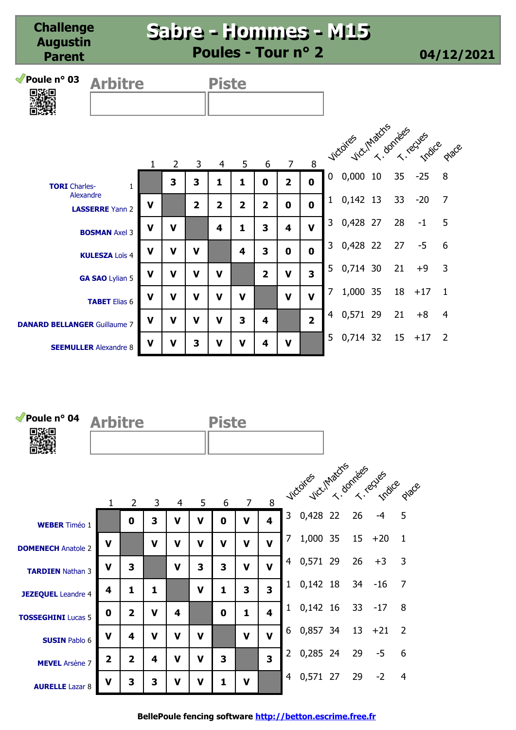| Poule nº 03<br><b>Arbitre</b><br>回路回 |              |                |                | <b>Piste</b>   |                         |                |                |                         |                |                              |    |       |                |
|--------------------------------------|--------------|----------------|----------------|----------------|-------------------------|----------------|----------------|-------------------------|----------------|------------------------------|----|-------|----------------|
|                                      |              |                |                |                |                         |                |                |                         |                |                              |    |       |                |
|                                      |              |                |                |                |                         |                |                |                         |                | victoires unadres rives pare |    |       |                |
|                                      | $\mathbf{1}$ | $\overline{2}$ | 3              | 4              | 5                       | 6              | $\overline{7}$ | 8                       |                |                              |    |       |                |
| <b>TORI</b> Charles-                 | $\mathbf{1}$ | 3              | 3              | 1              | 1                       | $\mathbf 0$    | $\overline{2}$ | $\mathbf{0}$            | $\mathbf 0$    | $0,000$ 10                   | 35 | $-25$ | 8              |
| Alexandre<br><b>LASSERRE</b> Yann 2  | V            |                | $\overline{2}$ | $\overline{2}$ | $\overline{2}$          | $\overline{2}$ | $\mathbf 0$    | $\mathbf{0}$            | $\mathbf{1}$   | $0,142$ 13                   | 33 | $-20$ | $\overline{7}$ |
| <b>BOSMAN Axel 3</b>                 | $\mathbf v$  | V              |                | 4              | 1                       | 3              | 4              | $\mathbf v$             | $\mathsf{3}$   | 0,428 27                     | 28 | $-1$  | 5              |
| <b>KULESZA Loïs 4</b>                | $\mathbf v$  | $\mathbf V$    | $\mathbf v$    |                | 4                       | 3              | $\mathbf 0$    | $\mathbf{0}$            | $\mathbf{3}$   | 0,428 22                     | 27 | $-5$  | 6              |
| GA SAO Lylian 5                      | $\mathbf v$  | $\mathbf v$    | $\mathbf v$    | $\mathbf v$    |                         | $\overline{2}$ | $\mathbf v$    | $\overline{\mathbf{3}}$ | 5 <sup>1</sup> | 0,714 30                     | 21 | $+9$  | 3              |
| <b>TABET</b> Elias 6                 | $\mathbf v$  | $\mathbf v$    | $\mathbf v$    | $\mathbf v$    | $\mathbf v$             |                | $\mathbf v$    | $\mathbf{V}$            | $\overline{7}$ | 1,000 35                     | 18 | $+17$ | $\mathbf{1}$   |
| <b>DANARD BELLANGER Guillaume 7</b>  | $\mathbf v$  | $\mathbf v$    | $\mathbf v$    | V              | $\overline{\mathbf{3}}$ | 4              |                | $\overline{2}$          | 4              | 0,571 29                     | 21 | $+8$  | $\overline{4}$ |
| <b>SEEMULLER</b> Alexandre 8         | $\mathbf V$  | $\mathbf v$    | 3              | $\mathbf v$    | $\mathbf v$             | 4              | $\mathbf v$    |                         | 5              | 0,714 32                     | 15 | $+17$ | 2              |

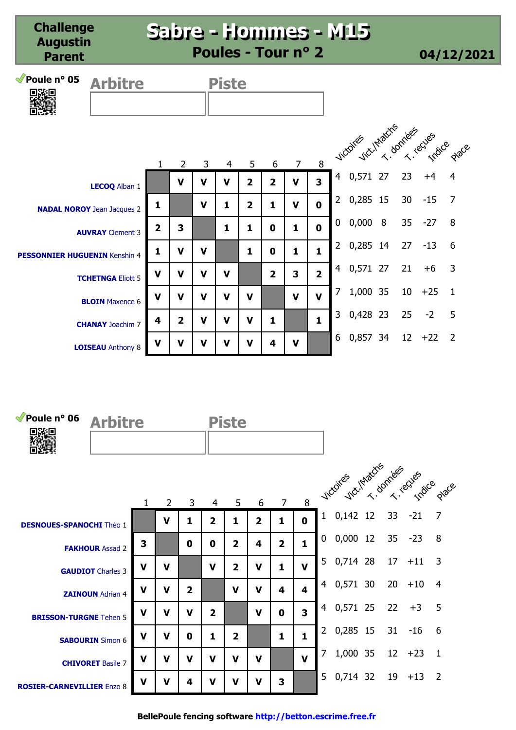| Poule nº 05<br>奥路奥                   | <b>Arbitre</b>           |                |                |             | <b>Piste</b> |                |                |                |                         |                |                               |                 |           |              |
|--------------------------------------|--------------------------|----------------|----------------|-------------|--------------|----------------|----------------|----------------|-------------------------|----------------|-------------------------------|-----------------|-----------|--------------|
|                                      |                          |                |                |             |              |                |                |                |                         |                |                               |                 |           |              |
|                                      |                          | $\mathbf{1}$   | $\overline{2}$ | 3           | 4            | 5              | 6              | $\overline{7}$ | 8                       |                | vicoires intactes rives eques |                 |           |              |
|                                      | LECOQ Alban 1            |                | $\mathbf v$    | V           | $\mathbf v$  | $\overline{2}$ | $\overline{2}$ | V              | $\overline{\mathbf{3}}$ |                | 4 0,571 27                    | 23              | $+4$      | 4            |
| <b>NADAL NOROY Jean Jacques 2</b>    |                          | 1              |                | $\mathbf v$ | 1            | $\overline{2}$ | 1              | $\mathbf v$    | $\mathbf 0$             |                | 2 0,285 15                    | 30 <sub>o</sub> | $-15$     | 7            |
|                                      | <b>AUVRAY</b> Clement 3  | $\overline{2}$ | 3              |             | 1            | 1              | 0              | 1              | $\mathbf 0$             | 0              | 0,0008                        |                 | $35 - 27$ | 8            |
| <b>PESSONNIER HUGUENIN Kenshin 4</b> |                          | 1              | $\mathbf v$    | V           |              | 1              | 0              | 1              | $\mathbf{1}$            | $\overline{2}$ | 0,285 14                      | 27              | $-13$     | 6            |
|                                      | <b>TCHETNGA Eliott 5</b> | $\mathbf v$    | $\mathbf v$    | V           | $\mathbf v$  |                | $\overline{2}$ | 3              | $\overline{2}$          | $\overline{4}$ | 0,571 27                      | 21              | $+6$      | 3            |
|                                      | <b>BLOIN</b> Maxence 6   | $\mathbf v$    | $\mathbf v$    | V           | $\mathbf v$  | V              |                | $\mathbf v$    | $\mathbf v$             | 7              | 1,000 35                      | 10              | $+25$     | $\mathbf{1}$ |
|                                      | <b>CHANAY Joachim 7</b>  | 4              | $\overline{2}$ | V           | V            | $\mathbf v$    | 1              |                | $\mathbf{1}$            | $\overline{3}$ | 0,428 23                      | 25              | $-2$      | 5            |
|                                      | <b>LOISEAU</b> Anthony 8 | $\mathbf v$    | $\mathbf v$    | V           | $\mathbf v$  | $\mathbf v$    | 4              | $\mathbf v$    |                         | 6              | 0,857 34                      | 12              | $+22$     | 2            |

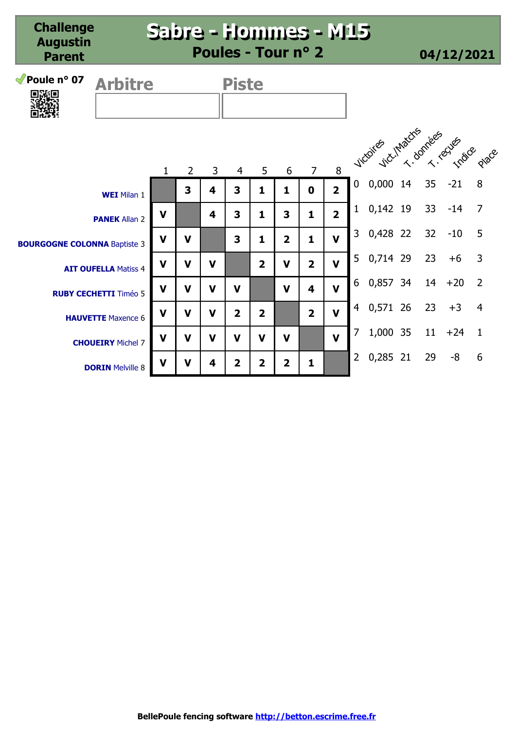| <i>M</i> Poule n° 07<br><b>Arbitre</b><br>水胆 |                              |              |                |             | <b>Piste</b>   |                |                |                         |                         |                |                                |    |       |                |
|----------------------------------------------|------------------------------|--------------|----------------|-------------|----------------|----------------|----------------|-------------------------|-------------------------|----------------|--------------------------------|----|-------|----------------|
|                                              |                              | $\mathbf{1}$ | $\overline{2}$ | 3           | $\overline{4}$ | 5              | 6              | $\overline{7}$          | 8                       |                | victoires vict.Inators relates |    |       |                |
|                                              | <b>WEI</b> Milan 1           |              | 3              | 4           | 3              | 1              | 1              | $\mathbf 0$             | $\overline{\mathbf{2}}$ | $\mathbf 0$    | $0,000$ 14                     | 35 | $-21$ | 8              |
|                                              | <b>PANEK Allan 2</b>         | $\mathbf v$  |                | 4           | 3              | 1              | 3              | 1                       | $\overline{2}$          | $\mathbf{1}$   | 0,142 19                       | 33 | $-14$ | $\overline{7}$ |
| <b>BOURGOGNE COLONNA Baptiste 3</b>          |                              | $\mathbf v$  | $\mathbf v$    |             | 3              | 1              | $\overline{2}$ | $\mathbf{1}$            | $\mathbf v$             | $\mathsf{3}$   | 0,428 22                       | 32 | $-10$ | 5              |
|                                              | <b>AIT OUFELLA Matiss 4</b>  | $\mathbf v$  | $\mathbf v$    | $\mathbf v$ |                | 2              | $\mathbf v$    | $\overline{2}$          | $\mathbf v$             | 5              | 0,714 29                       | 23 | $+6$  | $\overline{3}$ |
|                                              | <b>RUBY CECHETTI Timéo 5</b> | $\mathbf v$  | $\mathbf v$    | $\mathbf v$ | $\mathbf v$    |                | $\mathbf v$    | $\overline{\mathbf{4}}$ | $\mathbf v$             | 6              | 0,857 34                       | 14 | $+20$ | $\overline{2}$ |
|                                              | <b>HAUVETTE Maxence 6</b>    | $\mathbf v$  | $\mathbf v$    | $\mathbf v$ | $\overline{2}$ | 2              |                | $\overline{2}$          | $\mathbf{V}$            | $\overline{4}$ | 0,571 26                       | 23 | $+3$  | $\overline{4}$ |
|                                              | <b>CHOUEIRY</b> Michel 7     | $\mathbf v$  | $\mathbf v$    | $\mathbf v$ | $\mathbf v$    | $\mathbf V$    | $\mathbf v$    |                         | $\mathbf{V}$            | $\overline{7}$ | 1,000 35                       | 11 | $+24$ | 1              |
|                                              | <b>DORIN</b> Melville 8      | $\mathbf v$  | $\mathbf v$    | 4           | $\overline{2}$ | $\overline{2}$ | $\overline{2}$ | 1                       |                         | $\overline{2}$ | 0,285 21                       | 29 | $-8$  | 6              |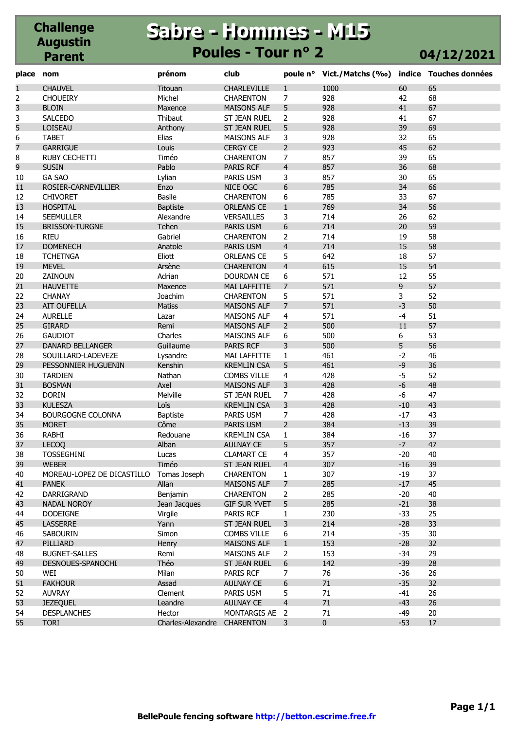#### **Challenge Augustin Parent Sabre - Hommes - M15 Sabre - Hommes - M15 Poules - Tour n° 2 04/12/2021**

| 60<br>$\mathbf{1}$<br><b>CHAUVEL</b><br>Titouan<br>CHARLEVILLE<br>1000<br>65<br>$\mathbf{1}$<br>$\overline{2}$<br>Michel<br>7<br>928<br>68<br><b>CHOUEIRY</b><br><b>CHARENTON</b><br>42<br>3<br>5<br>928<br>41<br>67<br><b>BLOIN</b><br><b>MAISONS ALF</b><br>Maxence<br>3<br>41<br><b>SALCEDO</b><br>Thibaut<br>ST JEAN RUEL<br>928<br>67<br>2<br>5<br>39<br>5<br>928<br>69<br>LOISEAU<br>Anthony<br>ST JEAN RUEL<br>32<br>6<br>Elias<br>3<br>928<br>65<br><b>TABET</b><br><b>MAISONS ALF</b><br>$\overline{7}$<br>$\overline{2}$<br>45<br>62<br><b>Louis</b><br>923<br><b>GARRIGUE</b><br><b>CERGY CE</b><br>8<br>7<br>857<br>39<br>65<br><b>RUBY CECHETTI</b><br>Timéo<br><b>CHARENTON</b><br>9<br>$\overline{4}$<br>36<br><b>SUSIN</b><br>Pablo<br>857<br>68<br>PARIS RCF<br><b>GA SAO</b><br>3<br>857<br>30<br>65<br>10<br>Lylian<br>PARIS USM<br>6<br>34<br>11<br>785<br>66<br>ROSIER-CARNEVILLIER<br>Enzo<br>NICE OGC<br>Basile<br>33<br>67<br>12<br><b>CHIVORET</b><br>6<br>785<br><b>CHARENTON</b><br>13<br>$\mathbf{1}$<br>769<br>34<br>56<br><b>HOSPITAL</b><br>Baptiste<br><b>ORLEANS CE</b><br>3<br>26<br>14<br><b>SEEMULLER</b><br>Alexandre<br>VERSAILLES<br>714<br>62<br>6<br>714<br>20<br>15<br>Tehen<br>59<br><b>BRISSON-TURGNE</b><br>PARIS USM<br>714<br>19<br>58<br>16<br><b>RIEU</b><br>Gabriel<br><b>CHARENTON</b><br>2<br>$\overline{4}$<br>714<br>15<br>58<br>17<br><b>DOMENECH</b><br>Anatole<br>PARIS USM<br>5<br>642<br>18<br>57<br>18<br><b>TCHETNGA</b><br>Eliott<br><b>ORLEANS CE</b><br>$\overline{4}$<br>15<br>19<br>Arsène<br>615<br>54<br><b>MEVEL</b><br><b>CHARENTON</b><br>20<br>6<br>571<br>12<br>55<br>ZAINOUN<br>Adrian<br>DOURDAN CE<br>9<br>21<br>$\overline{7}$<br>571<br>57<br><b>HAUVETTE</b><br>MAI LAFFITTE<br>Maxence<br>22<br>5<br>3<br><b>CHANAY</b><br>Joachim<br><b>CHARENTON</b><br>571<br>52<br>23<br>$\overline{7}$<br>$-3$<br>571<br>50<br><b>AIT OUFELLA</b><br><b>Matiss</b><br><b>MAISONS ALF</b><br>24<br><b>AURELLE</b><br><b>MAISONS ALF</b><br>571<br>$-4$<br>51<br>Lazar<br>4<br>25<br>57<br>500<br><b>GIRARD</b><br>Remi<br><b>MAISONS ALF</b><br>2<br>11<br>6<br>26<br>6<br>500<br>53<br><b>GAUDIOT</b><br>Charles<br><b>MAISONS ALF</b><br>5<br>56<br>27<br>3<br>500<br><b>DANARD BELLANGER</b><br>Guillaume<br>PARIS RCF<br>$-2$<br>461<br>46<br>28<br>SOUILLARD-LADEVEZE<br>Lysandre<br>$\mathbf{1}$<br><b>MAI LAFFITTE</b><br>$-9$<br>29<br>5<br>461<br>36<br>PESSONNIER HUGUENIN<br>Kenshin<br><b>KREMLIN CSA</b><br>$-5$<br>30<br>4<br>428<br>52<br><b>TARDIEN</b><br>Nathan<br><b>COMBS VILLE</b><br>31<br>3<br>$-6$<br>Axel<br>428<br>48<br><b>BOSMAN</b><br><b>MAISONS ALF</b><br>32<br>Melville<br>$\overline{7}$<br>-6<br>47<br><b>DORIN</b><br>ST JEAN RUEL<br>428<br>33<br>Loïs<br>3<br>428<br>$-10$<br>43<br><b>KULESZA</b><br><b>KREMLIN CSA</b><br>7<br>34<br><b>BOURGOGNE COLONNA</b><br>PARIS USM<br>428<br>$-17$<br>43<br><b>Baptiste</b><br>35<br>Côme<br>$\overline{2}$<br>384<br>$-13$<br>39<br><b>MORET</b><br>PARIS USM<br>36<br>RABHI<br>Redouane<br>$\mathbf{1}$<br>384<br>$-16$<br>37<br><b>KREMLIN CSA</b><br>37<br>5<br>357<br>$-7$<br>47<br><b>LECOQ</b><br>Alban<br><b>AULNAY CE</b><br>4<br>357<br>$-20$<br>40<br>38<br><b>TOSSEGHINI</b><br><b>CLAMART CE</b><br>Lucas<br>Timéo<br>39<br>$\overline{4}$<br>307<br>$-16$<br>39<br><b>WEBER</b><br>ST JEAN RUEL<br>307<br>$-19$<br>37<br>40<br>MOREAU-LOPEZ DE DICASTILLO<br>Tomas Joseph<br><b>CHARENTON</b><br>$\mathbf{1}$<br>$-17$<br>41<br><b>PANEK</b><br>Allan<br>$\overline{7}$<br>285<br>45<br><b>MAISONS ALF</b><br>$-20$<br>42<br>DARRIGRAND<br>Benjamin<br>$\overline{2}$<br>285<br>40<br><b>CHARENTON</b><br>5<br>285<br>$-21$<br>38<br>43<br><b>NADAL NOROY</b><br>Jean Jacques<br><b>GIF SUR YVET</b><br>$-33$<br><b>DODEIGNE</b><br>Virgile<br>PARIS RCF<br>$\mathbf{1}$<br>230<br>25<br>44<br>$-28$<br>33<br>45<br><b>LASSERRE</b><br>Yann<br>ST JEAN RUEL<br>3<br>214<br><b>SABOURIN</b><br>Simon<br><b>COMBS VILLE</b><br>6<br>214<br>$-35$<br>30<br>46<br>47<br>153<br>$-28$<br>32<br>PILLIARD<br>Henry<br>MAISONS ALF<br>$\mathbf{1}$<br>$-34$<br><b>BUGNET-SALLES</b><br>Remi<br>MAISONS ALF<br>2<br>153<br>29<br>48<br>6<br>49<br>Théo<br>142<br>$-39$<br>28<br>DESNOUES-SPANOCHI<br>ST JEAN RUEL<br>7<br>$-36$<br>26<br>50<br>WEI<br>Milan<br>PARIS RCF<br>76<br>$-35$<br>51<br>6<br>71<br>32<br><b>FAKHOUR</b><br>Assad<br><b>AULNAY CE</b><br>5<br>26<br>52<br><b>AUVRAY</b><br>Clement<br>PARIS USM<br>71<br>$-41$<br>71<br>53<br>$\overline{4}$<br>$-43$<br>26<br><b>JEZEQUEL</b><br>Leandre<br><b>AULNAY CE</b> | place | nom                | prénom | club           | poule nº Vict./Matchs (%o) indice Touches données |       |    |
|------------------------------------------------------------------------------------------------------------------------------------------------------------------------------------------------------------------------------------------------------------------------------------------------------------------------------------------------------------------------------------------------------------------------------------------------------------------------------------------------------------------------------------------------------------------------------------------------------------------------------------------------------------------------------------------------------------------------------------------------------------------------------------------------------------------------------------------------------------------------------------------------------------------------------------------------------------------------------------------------------------------------------------------------------------------------------------------------------------------------------------------------------------------------------------------------------------------------------------------------------------------------------------------------------------------------------------------------------------------------------------------------------------------------------------------------------------------------------------------------------------------------------------------------------------------------------------------------------------------------------------------------------------------------------------------------------------------------------------------------------------------------------------------------------------------------------------------------------------------------------------------------------------------------------------------------------------------------------------------------------------------------------------------------------------------------------------------------------------------------------------------------------------------------------------------------------------------------------------------------------------------------------------------------------------------------------------------------------------------------------------------------------------------------------------------------------------------------------------------------------------------------------------------------------------------------------------------------------------------------------------------------------------------------------------------------------------------------------------------------------------------------------------------------------------------------------------------------------------------------------------------------------------------------------------------------------------------------------------------------------------------------------------------------------------------------------------------------------------------------------------------------------------------------------------------------------------------------------------------------------------------------------------------------------------------------------------------------------------------------------------------------------------------------------------------------------------------------------------------------------------------------------------------------------------------------------------------------------------------------------------------------------------------------------------------------------------------------------------------------------------------------------------------------------------------------------------------------------------------------------------------------------------------------------------------------------------------------------------------------------------------------------------------------------------------------------------------------------------------------------------------------------------------------------------------------------------------------------------------------------------------------------------------------------------------------------------------------------------------------------------------------------------------------------------------------------------------------------------------------------------------------------------------------------------------------------------------------|-------|--------------------|--------|----------------|---------------------------------------------------|-------|----|
|                                                                                                                                                                                                                                                                                                                                                                                                                                                                                                                                                                                                                                                                                                                                                                                                                                                                                                                                                                                                                                                                                                                                                                                                                                                                                                                                                                                                                                                                                                                                                                                                                                                                                                                                                                                                                                                                                                                                                                                                                                                                                                                                                                                                                                                                                                                                                                                                                                                                                                                                                                                                                                                                                                                                                                                                                                                                                                                                                                                                                                                                                                                                                                                                                                                                                                                                                                                                                                                                                                                                                                                                                                                                                                                                                                                                                                                                                                                                                                                                                                                                                                                                                                                                                                                                                                                                                                                                                                                                                                                                                                                                |       |                    |        |                |                                                   |       |    |
|                                                                                                                                                                                                                                                                                                                                                                                                                                                                                                                                                                                                                                                                                                                                                                                                                                                                                                                                                                                                                                                                                                                                                                                                                                                                                                                                                                                                                                                                                                                                                                                                                                                                                                                                                                                                                                                                                                                                                                                                                                                                                                                                                                                                                                                                                                                                                                                                                                                                                                                                                                                                                                                                                                                                                                                                                                                                                                                                                                                                                                                                                                                                                                                                                                                                                                                                                                                                                                                                                                                                                                                                                                                                                                                                                                                                                                                                                                                                                                                                                                                                                                                                                                                                                                                                                                                                                                                                                                                                                                                                                                                                |       |                    |        |                |                                                   |       |    |
|                                                                                                                                                                                                                                                                                                                                                                                                                                                                                                                                                                                                                                                                                                                                                                                                                                                                                                                                                                                                                                                                                                                                                                                                                                                                                                                                                                                                                                                                                                                                                                                                                                                                                                                                                                                                                                                                                                                                                                                                                                                                                                                                                                                                                                                                                                                                                                                                                                                                                                                                                                                                                                                                                                                                                                                                                                                                                                                                                                                                                                                                                                                                                                                                                                                                                                                                                                                                                                                                                                                                                                                                                                                                                                                                                                                                                                                                                                                                                                                                                                                                                                                                                                                                                                                                                                                                                                                                                                                                                                                                                                                                |       |                    |        |                |                                                   |       |    |
|                                                                                                                                                                                                                                                                                                                                                                                                                                                                                                                                                                                                                                                                                                                                                                                                                                                                                                                                                                                                                                                                                                                                                                                                                                                                                                                                                                                                                                                                                                                                                                                                                                                                                                                                                                                                                                                                                                                                                                                                                                                                                                                                                                                                                                                                                                                                                                                                                                                                                                                                                                                                                                                                                                                                                                                                                                                                                                                                                                                                                                                                                                                                                                                                                                                                                                                                                                                                                                                                                                                                                                                                                                                                                                                                                                                                                                                                                                                                                                                                                                                                                                                                                                                                                                                                                                                                                                                                                                                                                                                                                                                                |       |                    |        |                |                                                   |       |    |
|                                                                                                                                                                                                                                                                                                                                                                                                                                                                                                                                                                                                                                                                                                                                                                                                                                                                                                                                                                                                                                                                                                                                                                                                                                                                                                                                                                                                                                                                                                                                                                                                                                                                                                                                                                                                                                                                                                                                                                                                                                                                                                                                                                                                                                                                                                                                                                                                                                                                                                                                                                                                                                                                                                                                                                                                                                                                                                                                                                                                                                                                                                                                                                                                                                                                                                                                                                                                                                                                                                                                                                                                                                                                                                                                                                                                                                                                                                                                                                                                                                                                                                                                                                                                                                                                                                                                                                                                                                                                                                                                                                                                |       |                    |        |                |                                                   |       |    |
|                                                                                                                                                                                                                                                                                                                                                                                                                                                                                                                                                                                                                                                                                                                                                                                                                                                                                                                                                                                                                                                                                                                                                                                                                                                                                                                                                                                                                                                                                                                                                                                                                                                                                                                                                                                                                                                                                                                                                                                                                                                                                                                                                                                                                                                                                                                                                                                                                                                                                                                                                                                                                                                                                                                                                                                                                                                                                                                                                                                                                                                                                                                                                                                                                                                                                                                                                                                                                                                                                                                                                                                                                                                                                                                                                                                                                                                                                                                                                                                                                                                                                                                                                                                                                                                                                                                                                                                                                                                                                                                                                                                                |       |                    |        |                |                                                   |       |    |
|                                                                                                                                                                                                                                                                                                                                                                                                                                                                                                                                                                                                                                                                                                                                                                                                                                                                                                                                                                                                                                                                                                                                                                                                                                                                                                                                                                                                                                                                                                                                                                                                                                                                                                                                                                                                                                                                                                                                                                                                                                                                                                                                                                                                                                                                                                                                                                                                                                                                                                                                                                                                                                                                                                                                                                                                                                                                                                                                                                                                                                                                                                                                                                                                                                                                                                                                                                                                                                                                                                                                                                                                                                                                                                                                                                                                                                                                                                                                                                                                                                                                                                                                                                                                                                                                                                                                                                                                                                                                                                                                                                                                |       |                    |        |                |                                                   |       |    |
|                                                                                                                                                                                                                                                                                                                                                                                                                                                                                                                                                                                                                                                                                                                                                                                                                                                                                                                                                                                                                                                                                                                                                                                                                                                                                                                                                                                                                                                                                                                                                                                                                                                                                                                                                                                                                                                                                                                                                                                                                                                                                                                                                                                                                                                                                                                                                                                                                                                                                                                                                                                                                                                                                                                                                                                                                                                                                                                                                                                                                                                                                                                                                                                                                                                                                                                                                                                                                                                                                                                                                                                                                                                                                                                                                                                                                                                                                                                                                                                                                                                                                                                                                                                                                                                                                                                                                                                                                                                                                                                                                                                                |       |                    |        |                |                                                   |       |    |
|                                                                                                                                                                                                                                                                                                                                                                                                                                                                                                                                                                                                                                                                                                                                                                                                                                                                                                                                                                                                                                                                                                                                                                                                                                                                                                                                                                                                                                                                                                                                                                                                                                                                                                                                                                                                                                                                                                                                                                                                                                                                                                                                                                                                                                                                                                                                                                                                                                                                                                                                                                                                                                                                                                                                                                                                                                                                                                                                                                                                                                                                                                                                                                                                                                                                                                                                                                                                                                                                                                                                                                                                                                                                                                                                                                                                                                                                                                                                                                                                                                                                                                                                                                                                                                                                                                                                                                                                                                                                                                                                                                                                |       |                    |        |                |                                                   |       |    |
|                                                                                                                                                                                                                                                                                                                                                                                                                                                                                                                                                                                                                                                                                                                                                                                                                                                                                                                                                                                                                                                                                                                                                                                                                                                                                                                                                                                                                                                                                                                                                                                                                                                                                                                                                                                                                                                                                                                                                                                                                                                                                                                                                                                                                                                                                                                                                                                                                                                                                                                                                                                                                                                                                                                                                                                                                                                                                                                                                                                                                                                                                                                                                                                                                                                                                                                                                                                                                                                                                                                                                                                                                                                                                                                                                                                                                                                                                                                                                                                                                                                                                                                                                                                                                                                                                                                                                                                                                                                                                                                                                                                                |       |                    |        |                |                                                   |       |    |
|                                                                                                                                                                                                                                                                                                                                                                                                                                                                                                                                                                                                                                                                                                                                                                                                                                                                                                                                                                                                                                                                                                                                                                                                                                                                                                                                                                                                                                                                                                                                                                                                                                                                                                                                                                                                                                                                                                                                                                                                                                                                                                                                                                                                                                                                                                                                                                                                                                                                                                                                                                                                                                                                                                                                                                                                                                                                                                                                                                                                                                                                                                                                                                                                                                                                                                                                                                                                                                                                                                                                                                                                                                                                                                                                                                                                                                                                                                                                                                                                                                                                                                                                                                                                                                                                                                                                                                                                                                                                                                                                                                                                |       |                    |        |                |                                                   |       |    |
|                                                                                                                                                                                                                                                                                                                                                                                                                                                                                                                                                                                                                                                                                                                                                                                                                                                                                                                                                                                                                                                                                                                                                                                                                                                                                                                                                                                                                                                                                                                                                                                                                                                                                                                                                                                                                                                                                                                                                                                                                                                                                                                                                                                                                                                                                                                                                                                                                                                                                                                                                                                                                                                                                                                                                                                                                                                                                                                                                                                                                                                                                                                                                                                                                                                                                                                                                                                                                                                                                                                                                                                                                                                                                                                                                                                                                                                                                                                                                                                                                                                                                                                                                                                                                                                                                                                                                                                                                                                                                                                                                                                                |       |                    |        |                |                                                   |       |    |
|                                                                                                                                                                                                                                                                                                                                                                                                                                                                                                                                                                                                                                                                                                                                                                                                                                                                                                                                                                                                                                                                                                                                                                                                                                                                                                                                                                                                                                                                                                                                                                                                                                                                                                                                                                                                                                                                                                                                                                                                                                                                                                                                                                                                                                                                                                                                                                                                                                                                                                                                                                                                                                                                                                                                                                                                                                                                                                                                                                                                                                                                                                                                                                                                                                                                                                                                                                                                                                                                                                                                                                                                                                                                                                                                                                                                                                                                                                                                                                                                                                                                                                                                                                                                                                                                                                                                                                                                                                                                                                                                                                                                |       |                    |        |                |                                                   |       |    |
|                                                                                                                                                                                                                                                                                                                                                                                                                                                                                                                                                                                                                                                                                                                                                                                                                                                                                                                                                                                                                                                                                                                                                                                                                                                                                                                                                                                                                                                                                                                                                                                                                                                                                                                                                                                                                                                                                                                                                                                                                                                                                                                                                                                                                                                                                                                                                                                                                                                                                                                                                                                                                                                                                                                                                                                                                                                                                                                                                                                                                                                                                                                                                                                                                                                                                                                                                                                                                                                                                                                                                                                                                                                                                                                                                                                                                                                                                                                                                                                                                                                                                                                                                                                                                                                                                                                                                                                                                                                                                                                                                                                                |       |                    |        |                |                                                   |       |    |
|                                                                                                                                                                                                                                                                                                                                                                                                                                                                                                                                                                                                                                                                                                                                                                                                                                                                                                                                                                                                                                                                                                                                                                                                                                                                                                                                                                                                                                                                                                                                                                                                                                                                                                                                                                                                                                                                                                                                                                                                                                                                                                                                                                                                                                                                                                                                                                                                                                                                                                                                                                                                                                                                                                                                                                                                                                                                                                                                                                                                                                                                                                                                                                                                                                                                                                                                                                                                                                                                                                                                                                                                                                                                                                                                                                                                                                                                                                                                                                                                                                                                                                                                                                                                                                                                                                                                                                                                                                                                                                                                                                                                |       |                    |        |                |                                                   |       |    |
|                                                                                                                                                                                                                                                                                                                                                                                                                                                                                                                                                                                                                                                                                                                                                                                                                                                                                                                                                                                                                                                                                                                                                                                                                                                                                                                                                                                                                                                                                                                                                                                                                                                                                                                                                                                                                                                                                                                                                                                                                                                                                                                                                                                                                                                                                                                                                                                                                                                                                                                                                                                                                                                                                                                                                                                                                                                                                                                                                                                                                                                                                                                                                                                                                                                                                                                                                                                                                                                                                                                                                                                                                                                                                                                                                                                                                                                                                                                                                                                                                                                                                                                                                                                                                                                                                                                                                                                                                                                                                                                                                                                                |       |                    |        |                |                                                   |       |    |
|                                                                                                                                                                                                                                                                                                                                                                                                                                                                                                                                                                                                                                                                                                                                                                                                                                                                                                                                                                                                                                                                                                                                                                                                                                                                                                                                                                                                                                                                                                                                                                                                                                                                                                                                                                                                                                                                                                                                                                                                                                                                                                                                                                                                                                                                                                                                                                                                                                                                                                                                                                                                                                                                                                                                                                                                                                                                                                                                                                                                                                                                                                                                                                                                                                                                                                                                                                                                                                                                                                                                                                                                                                                                                                                                                                                                                                                                                                                                                                                                                                                                                                                                                                                                                                                                                                                                                                                                                                                                                                                                                                                                |       |                    |        |                |                                                   |       |    |
|                                                                                                                                                                                                                                                                                                                                                                                                                                                                                                                                                                                                                                                                                                                                                                                                                                                                                                                                                                                                                                                                                                                                                                                                                                                                                                                                                                                                                                                                                                                                                                                                                                                                                                                                                                                                                                                                                                                                                                                                                                                                                                                                                                                                                                                                                                                                                                                                                                                                                                                                                                                                                                                                                                                                                                                                                                                                                                                                                                                                                                                                                                                                                                                                                                                                                                                                                                                                                                                                                                                                                                                                                                                                                                                                                                                                                                                                                                                                                                                                                                                                                                                                                                                                                                                                                                                                                                                                                                                                                                                                                                                                |       |                    |        |                |                                                   |       |    |
|                                                                                                                                                                                                                                                                                                                                                                                                                                                                                                                                                                                                                                                                                                                                                                                                                                                                                                                                                                                                                                                                                                                                                                                                                                                                                                                                                                                                                                                                                                                                                                                                                                                                                                                                                                                                                                                                                                                                                                                                                                                                                                                                                                                                                                                                                                                                                                                                                                                                                                                                                                                                                                                                                                                                                                                                                                                                                                                                                                                                                                                                                                                                                                                                                                                                                                                                                                                                                                                                                                                                                                                                                                                                                                                                                                                                                                                                                                                                                                                                                                                                                                                                                                                                                                                                                                                                                                                                                                                                                                                                                                                                |       |                    |        |                |                                                   |       |    |
|                                                                                                                                                                                                                                                                                                                                                                                                                                                                                                                                                                                                                                                                                                                                                                                                                                                                                                                                                                                                                                                                                                                                                                                                                                                                                                                                                                                                                                                                                                                                                                                                                                                                                                                                                                                                                                                                                                                                                                                                                                                                                                                                                                                                                                                                                                                                                                                                                                                                                                                                                                                                                                                                                                                                                                                                                                                                                                                                                                                                                                                                                                                                                                                                                                                                                                                                                                                                                                                                                                                                                                                                                                                                                                                                                                                                                                                                                                                                                                                                                                                                                                                                                                                                                                                                                                                                                                                                                                                                                                                                                                                                |       |                    |        |                |                                                   |       |    |
|                                                                                                                                                                                                                                                                                                                                                                                                                                                                                                                                                                                                                                                                                                                                                                                                                                                                                                                                                                                                                                                                                                                                                                                                                                                                                                                                                                                                                                                                                                                                                                                                                                                                                                                                                                                                                                                                                                                                                                                                                                                                                                                                                                                                                                                                                                                                                                                                                                                                                                                                                                                                                                                                                                                                                                                                                                                                                                                                                                                                                                                                                                                                                                                                                                                                                                                                                                                                                                                                                                                                                                                                                                                                                                                                                                                                                                                                                                                                                                                                                                                                                                                                                                                                                                                                                                                                                                                                                                                                                                                                                                                                |       |                    |        |                |                                                   |       |    |
|                                                                                                                                                                                                                                                                                                                                                                                                                                                                                                                                                                                                                                                                                                                                                                                                                                                                                                                                                                                                                                                                                                                                                                                                                                                                                                                                                                                                                                                                                                                                                                                                                                                                                                                                                                                                                                                                                                                                                                                                                                                                                                                                                                                                                                                                                                                                                                                                                                                                                                                                                                                                                                                                                                                                                                                                                                                                                                                                                                                                                                                                                                                                                                                                                                                                                                                                                                                                                                                                                                                                                                                                                                                                                                                                                                                                                                                                                                                                                                                                                                                                                                                                                                                                                                                                                                                                                                                                                                                                                                                                                                                                |       |                    |        |                |                                                   |       |    |
|                                                                                                                                                                                                                                                                                                                                                                                                                                                                                                                                                                                                                                                                                                                                                                                                                                                                                                                                                                                                                                                                                                                                                                                                                                                                                                                                                                                                                                                                                                                                                                                                                                                                                                                                                                                                                                                                                                                                                                                                                                                                                                                                                                                                                                                                                                                                                                                                                                                                                                                                                                                                                                                                                                                                                                                                                                                                                                                                                                                                                                                                                                                                                                                                                                                                                                                                                                                                                                                                                                                                                                                                                                                                                                                                                                                                                                                                                                                                                                                                                                                                                                                                                                                                                                                                                                                                                                                                                                                                                                                                                                                                |       |                    |        |                |                                                   |       |    |
|                                                                                                                                                                                                                                                                                                                                                                                                                                                                                                                                                                                                                                                                                                                                                                                                                                                                                                                                                                                                                                                                                                                                                                                                                                                                                                                                                                                                                                                                                                                                                                                                                                                                                                                                                                                                                                                                                                                                                                                                                                                                                                                                                                                                                                                                                                                                                                                                                                                                                                                                                                                                                                                                                                                                                                                                                                                                                                                                                                                                                                                                                                                                                                                                                                                                                                                                                                                                                                                                                                                                                                                                                                                                                                                                                                                                                                                                                                                                                                                                                                                                                                                                                                                                                                                                                                                                                                                                                                                                                                                                                                                                |       |                    |        |                |                                                   |       |    |
|                                                                                                                                                                                                                                                                                                                                                                                                                                                                                                                                                                                                                                                                                                                                                                                                                                                                                                                                                                                                                                                                                                                                                                                                                                                                                                                                                                                                                                                                                                                                                                                                                                                                                                                                                                                                                                                                                                                                                                                                                                                                                                                                                                                                                                                                                                                                                                                                                                                                                                                                                                                                                                                                                                                                                                                                                                                                                                                                                                                                                                                                                                                                                                                                                                                                                                                                                                                                                                                                                                                                                                                                                                                                                                                                                                                                                                                                                                                                                                                                                                                                                                                                                                                                                                                                                                                                                                                                                                                                                                                                                                                                |       |                    |        |                |                                                   |       |    |
|                                                                                                                                                                                                                                                                                                                                                                                                                                                                                                                                                                                                                                                                                                                                                                                                                                                                                                                                                                                                                                                                                                                                                                                                                                                                                                                                                                                                                                                                                                                                                                                                                                                                                                                                                                                                                                                                                                                                                                                                                                                                                                                                                                                                                                                                                                                                                                                                                                                                                                                                                                                                                                                                                                                                                                                                                                                                                                                                                                                                                                                                                                                                                                                                                                                                                                                                                                                                                                                                                                                                                                                                                                                                                                                                                                                                                                                                                                                                                                                                                                                                                                                                                                                                                                                                                                                                                                                                                                                                                                                                                                                                |       |                    |        |                |                                                   |       |    |
|                                                                                                                                                                                                                                                                                                                                                                                                                                                                                                                                                                                                                                                                                                                                                                                                                                                                                                                                                                                                                                                                                                                                                                                                                                                                                                                                                                                                                                                                                                                                                                                                                                                                                                                                                                                                                                                                                                                                                                                                                                                                                                                                                                                                                                                                                                                                                                                                                                                                                                                                                                                                                                                                                                                                                                                                                                                                                                                                                                                                                                                                                                                                                                                                                                                                                                                                                                                                                                                                                                                                                                                                                                                                                                                                                                                                                                                                                                                                                                                                                                                                                                                                                                                                                                                                                                                                                                                                                                                                                                                                                                                                |       |                    |        |                |                                                   |       |    |
|                                                                                                                                                                                                                                                                                                                                                                                                                                                                                                                                                                                                                                                                                                                                                                                                                                                                                                                                                                                                                                                                                                                                                                                                                                                                                                                                                                                                                                                                                                                                                                                                                                                                                                                                                                                                                                                                                                                                                                                                                                                                                                                                                                                                                                                                                                                                                                                                                                                                                                                                                                                                                                                                                                                                                                                                                                                                                                                                                                                                                                                                                                                                                                                                                                                                                                                                                                                                                                                                                                                                                                                                                                                                                                                                                                                                                                                                                                                                                                                                                                                                                                                                                                                                                                                                                                                                                                                                                                                                                                                                                                                                |       |                    |        |                |                                                   |       |    |
|                                                                                                                                                                                                                                                                                                                                                                                                                                                                                                                                                                                                                                                                                                                                                                                                                                                                                                                                                                                                                                                                                                                                                                                                                                                                                                                                                                                                                                                                                                                                                                                                                                                                                                                                                                                                                                                                                                                                                                                                                                                                                                                                                                                                                                                                                                                                                                                                                                                                                                                                                                                                                                                                                                                                                                                                                                                                                                                                                                                                                                                                                                                                                                                                                                                                                                                                                                                                                                                                                                                                                                                                                                                                                                                                                                                                                                                                                                                                                                                                                                                                                                                                                                                                                                                                                                                                                                                                                                                                                                                                                                                                |       |                    |        |                |                                                   |       |    |
|                                                                                                                                                                                                                                                                                                                                                                                                                                                                                                                                                                                                                                                                                                                                                                                                                                                                                                                                                                                                                                                                                                                                                                                                                                                                                                                                                                                                                                                                                                                                                                                                                                                                                                                                                                                                                                                                                                                                                                                                                                                                                                                                                                                                                                                                                                                                                                                                                                                                                                                                                                                                                                                                                                                                                                                                                                                                                                                                                                                                                                                                                                                                                                                                                                                                                                                                                                                                                                                                                                                                                                                                                                                                                                                                                                                                                                                                                                                                                                                                                                                                                                                                                                                                                                                                                                                                                                                                                                                                                                                                                                                                |       |                    |        |                |                                                   |       |    |
|                                                                                                                                                                                                                                                                                                                                                                                                                                                                                                                                                                                                                                                                                                                                                                                                                                                                                                                                                                                                                                                                                                                                                                                                                                                                                                                                                                                                                                                                                                                                                                                                                                                                                                                                                                                                                                                                                                                                                                                                                                                                                                                                                                                                                                                                                                                                                                                                                                                                                                                                                                                                                                                                                                                                                                                                                                                                                                                                                                                                                                                                                                                                                                                                                                                                                                                                                                                                                                                                                                                                                                                                                                                                                                                                                                                                                                                                                                                                                                                                                                                                                                                                                                                                                                                                                                                                                                                                                                                                                                                                                                                                |       |                    |        |                |                                                   |       |    |
|                                                                                                                                                                                                                                                                                                                                                                                                                                                                                                                                                                                                                                                                                                                                                                                                                                                                                                                                                                                                                                                                                                                                                                                                                                                                                                                                                                                                                                                                                                                                                                                                                                                                                                                                                                                                                                                                                                                                                                                                                                                                                                                                                                                                                                                                                                                                                                                                                                                                                                                                                                                                                                                                                                                                                                                                                                                                                                                                                                                                                                                                                                                                                                                                                                                                                                                                                                                                                                                                                                                                                                                                                                                                                                                                                                                                                                                                                                                                                                                                                                                                                                                                                                                                                                                                                                                                                                                                                                                                                                                                                                                                |       |                    |        |                |                                                   |       |    |
|                                                                                                                                                                                                                                                                                                                                                                                                                                                                                                                                                                                                                                                                                                                                                                                                                                                                                                                                                                                                                                                                                                                                                                                                                                                                                                                                                                                                                                                                                                                                                                                                                                                                                                                                                                                                                                                                                                                                                                                                                                                                                                                                                                                                                                                                                                                                                                                                                                                                                                                                                                                                                                                                                                                                                                                                                                                                                                                                                                                                                                                                                                                                                                                                                                                                                                                                                                                                                                                                                                                                                                                                                                                                                                                                                                                                                                                                                                                                                                                                                                                                                                                                                                                                                                                                                                                                                                                                                                                                                                                                                                                                |       |                    |        |                |                                                   |       |    |
|                                                                                                                                                                                                                                                                                                                                                                                                                                                                                                                                                                                                                                                                                                                                                                                                                                                                                                                                                                                                                                                                                                                                                                                                                                                                                                                                                                                                                                                                                                                                                                                                                                                                                                                                                                                                                                                                                                                                                                                                                                                                                                                                                                                                                                                                                                                                                                                                                                                                                                                                                                                                                                                                                                                                                                                                                                                                                                                                                                                                                                                                                                                                                                                                                                                                                                                                                                                                                                                                                                                                                                                                                                                                                                                                                                                                                                                                                                                                                                                                                                                                                                                                                                                                                                                                                                                                                                                                                                                                                                                                                                                                |       |                    |        |                |                                                   |       |    |
|                                                                                                                                                                                                                                                                                                                                                                                                                                                                                                                                                                                                                                                                                                                                                                                                                                                                                                                                                                                                                                                                                                                                                                                                                                                                                                                                                                                                                                                                                                                                                                                                                                                                                                                                                                                                                                                                                                                                                                                                                                                                                                                                                                                                                                                                                                                                                                                                                                                                                                                                                                                                                                                                                                                                                                                                                                                                                                                                                                                                                                                                                                                                                                                                                                                                                                                                                                                                                                                                                                                                                                                                                                                                                                                                                                                                                                                                                                                                                                                                                                                                                                                                                                                                                                                                                                                                                                                                                                                                                                                                                                                                |       |                    |        |                |                                                   |       |    |
|                                                                                                                                                                                                                                                                                                                                                                                                                                                                                                                                                                                                                                                                                                                                                                                                                                                                                                                                                                                                                                                                                                                                                                                                                                                                                                                                                                                                                                                                                                                                                                                                                                                                                                                                                                                                                                                                                                                                                                                                                                                                                                                                                                                                                                                                                                                                                                                                                                                                                                                                                                                                                                                                                                                                                                                                                                                                                                                                                                                                                                                                                                                                                                                                                                                                                                                                                                                                                                                                                                                                                                                                                                                                                                                                                                                                                                                                                                                                                                                                                                                                                                                                                                                                                                                                                                                                                                                                                                                                                                                                                                                                |       |                    |        |                |                                                   |       |    |
|                                                                                                                                                                                                                                                                                                                                                                                                                                                                                                                                                                                                                                                                                                                                                                                                                                                                                                                                                                                                                                                                                                                                                                                                                                                                                                                                                                                                                                                                                                                                                                                                                                                                                                                                                                                                                                                                                                                                                                                                                                                                                                                                                                                                                                                                                                                                                                                                                                                                                                                                                                                                                                                                                                                                                                                                                                                                                                                                                                                                                                                                                                                                                                                                                                                                                                                                                                                                                                                                                                                                                                                                                                                                                                                                                                                                                                                                                                                                                                                                                                                                                                                                                                                                                                                                                                                                                                                                                                                                                                                                                                                                |       |                    |        |                |                                                   |       |    |
|                                                                                                                                                                                                                                                                                                                                                                                                                                                                                                                                                                                                                                                                                                                                                                                                                                                                                                                                                                                                                                                                                                                                                                                                                                                                                                                                                                                                                                                                                                                                                                                                                                                                                                                                                                                                                                                                                                                                                                                                                                                                                                                                                                                                                                                                                                                                                                                                                                                                                                                                                                                                                                                                                                                                                                                                                                                                                                                                                                                                                                                                                                                                                                                                                                                                                                                                                                                                                                                                                                                                                                                                                                                                                                                                                                                                                                                                                                                                                                                                                                                                                                                                                                                                                                                                                                                                                                                                                                                                                                                                                                                                |       |                    |        |                |                                                   |       |    |
|                                                                                                                                                                                                                                                                                                                                                                                                                                                                                                                                                                                                                                                                                                                                                                                                                                                                                                                                                                                                                                                                                                                                                                                                                                                                                                                                                                                                                                                                                                                                                                                                                                                                                                                                                                                                                                                                                                                                                                                                                                                                                                                                                                                                                                                                                                                                                                                                                                                                                                                                                                                                                                                                                                                                                                                                                                                                                                                                                                                                                                                                                                                                                                                                                                                                                                                                                                                                                                                                                                                                                                                                                                                                                                                                                                                                                                                                                                                                                                                                                                                                                                                                                                                                                                                                                                                                                                                                                                                                                                                                                                                                |       |                    |        |                |                                                   |       |    |
|                                                                                                                                                                                                                                                                                                                                                                                                                                                                                                                                                                                                                                                                                                                                                                                                                                                                                                                                                                                                                                                                                                                                                                                                                                                                                                                                                                                                                                                                                                                                                                                                                                                                                                                                                                                                                                                                                                                                                                                                                                                                                                                                                                                                                                                                                                                                                                                                                                                                                                                                                                                                                                                                                                                                                                                                                                                                                                                                                                                                                                                                                                                                                                                                                                                                                                                                                                                                                                                                                                                                                                                                                                                                                                                                                                                                                                                                                                                                                                                                                                                                                                                                                                                                                                                                                                                                                                                                                                                                                                                                                                                                |       |                    |        |                |                                                   |       |    |
|                                                                                                                                                                                                                                                                                                                                                                                                                                                                                                                                                                                                                                                                                                                                                                                                                                                                                                                                                                                                                                                                                                                                                                                                                                                                                                                                                                                                                                                                                                                                                                                                                                                                                                                                                                                                                                                                                                                                                                                                                                                                                                                                                                                                                                                                                                                                                                                                                                                                                                                                                                                                                                                                                                                                                                                                                                                                                                                                                                                                                                                                                                                                                                                                                                                                                                                                                                                                                                                                                                                                                                                                                                                                                                                                                                                                                                                                                                                                                                                                                                                                                                                                                                                                                                                                                                                                                                                                                                                                                                                                                                                                |       |                    |        |                |                                                   |       |    |
|                                                                                                                                                                                                                                                                                                                                                                                                                                                                                                                                                                                                                                                                                                                                                                                                                                                                                                                                                                                                                                                                                                                                                                                                                                                                                                                                                                                                                                                                                                                                                                                                                                                                                                                                                                                                                                                                                                                                                                                                                                                                                                                                                                                                                                                                                                                                                                                                                                                                                                                                                                                                                                                                                                                                                                                                                                                                                                                                                                                                                                                                                                                                                                                                                                                                                                                                                                                                                                                                                                                                                                                                                                                                                                                                                                                                                                                                                                                                                                                                                                                                                                                                                                                                                                                                                                                                                                                                                                                                                                                                                                                                |       |                    |        |                |                                                   |       |    |
|                                                                                                                                                                                                                                                                                                                                                                                                                                                                                                                                                                                                                                                                                                                                                                                                                                                                                                                                                                                                                                                                                                                                                                                                                                                                                                                                                                                                                                                                                                                                                                                                                                                                                                                                                                                                                                                                                                                                                                                                                                                                                                                                                                                                                                                                                                                                                                                                                                                                                                                                                                                                                                                                                                                                                                                                                                                                                                                                                                                                                                                                                                                                                                                                                                                                                                                                                                                                                                                                                                                                                                                                                                                                                                                                                                                                                                                                                                                                                                                                                                                                                                                                                                                                                                                                                                                                                                                                                                                                                                                                                                                                |       |                    |        |                |                                                   |       |    |
|                                                                                                                                                                                                                                                                                                                                                                                                                                                                                                                                                                                                                                                                                                                                                                                                                                                                                                                                                                                                                                                                                                                                                                                                                                                                                                                                                                                                                                                                                                                                                                                                                                                                                                                                                                                                                                                                                                                                                                                                                                                                                                                                                                                                                                                                                                                                                                                                                                                                                                                                                                                                                                                                                                                                                                                                                                                                                                                                                                                                                                                                                                                                                                                                                                                                                                                                                                                                                                                                                                                                                                                                                                                                                                                                                                                                                                                                                                                                                                                                                                                                                                                                                                                                                                                                                                                                                                                                                                                                                                                                                                                                |       |                    |        |                |                                                   |       |    |
|                                                                                                                                                                                                                                                                                                                                                                                                                                                                                                                                                                                                                                                                                                                                                                                                                                                                                                                                                                                                                                                                                                                                                                                                                                                                                                                                                                                                                                                                                                                                                                                                                                                                                                                                                                                                                                                                                                                                                                                                                                                                                                                                                                                                                                                                                                                                                                                                                                                                                                                                                                                                                                                                                                                                                                                                                                                                                                                                                                                                                                                                                                                                                                                                                                                                                                                                                                                                                                                                                                                                                                                                                                                                                                                                                                                                                                                                                                                                                                                                                                                                                                                                                                                                                                                                                                                                                                                                                                                                                                                                                                                                |       |                    |        |                |                                                   |       |    |
|                                                                                                                                                                                                                                                                                                                                                                                                                                                                                                                                                                                                                                                                                                                                                                                                                                                                                                                                                                                                                                                                                                                                                                                                                                                                                                                                                                                                                                                                                                                                                                                                                                                                                                                                                                                                                                                                                                                                                                                                                                                                                                                                                                                                                                                                                                                                                                                                                                                                                                                                                                                                                                                                                                                                                                                                                                                                                                                                                                                                                                                                                                                                                                                                                                                                                                                                                                                                                                                                                                                                                                                                                                                                                                                                                                                                                                                                                                                                                                                                                                                                                                                                                                                                                                                                                                                                                                                                                                                                                                                                                                                                |       |                    |        |                |                                                   |       |    |
|                                                                                                                                                                                                                                                                                                                                                                                                                                                                                                                                                                                                                                                                                                                                                                                                                                                                                                                                                                                                                                                                                                                                                                                                                                                                                                                                                                                                                                                                                                                                                                                                                                                                                                                                                                                                                                                                                                                                                                                                                                                                                                                                                                                                                                                                                                                                                                                                                                                                                                                                                                                                                                                                                                                                                                                                                                                                                                                                                                                                                                                                                                                                                                                                                                                                                                                                                                                                                                                                                                                                                                                                                                                                                                                                                                                                                                                                                                                                                                                                                                                                                                                                                                                                                                                                                                                                                                                                                                                                                                                                                                                                |       |                    |        |                |                                                   |       |    |
|                                                                                                                                                                                                                                                                                                                                                                                                                                                                                                                                                                                                                                                                                                                                                                                                                                                                                                                                                                                                                                                                                                                                                                                                                                                                                                                                                                                                                                                                                                                                                                                                                                                                                                                                                                                                                                                                                                                                                                                                                                                                                                                                                                                                                                                                                                                                                                                                                                                                                                                                                                                                                                                                                                                                                                                                                                                                                                                                                                                                                                                                                                                                                                                                                                                                                                                                                                                                                                                                                                                                                                                                                                                                                                                                                                                                                                                                                                                                                                                                                                                                                                                                                                                                                                                                                                                                                                                                                                                                                                                                                                                                |       |                    |        |                |                                                   |       |    |
|                                                                                                                                                                                                                                                                                                                                                                                                                                                                                                                                                                                                                                                                                                                                                                                                                                                                                                                                                                                                                                                                                                                                                                                                                                                                                                                                                                                                                                                                                                                                                                                                                                                                                                                                                                                                                                                                                                                                                                                                                                                                                                                                                                                                                                                                                                                                                                                                                                                                                                                                                                                                                                                                                                                                                                                                                                                                                                                                                                                                                                                                                                                                                                                                                                                                                                                                                                                                                                                                                                                                                                                                                                                                                                                                                                                                                                                                                                                                                                                                                                                                                                                                                                                                                                                                                                                                                                                                                                                                                                                                                                                                |       |                    |        |                |                                                   |       |    |
|                                                                                                                                                                                                                                                                                                                                                                                                                                                                                                                                                                                                                                                                                                                                                                                                                                                                                                                                                                                                                                                                                                                                                                                                                                                                                                                                                                                                                                                                                                                                                                                                                                                                                                                                                                                                                                                                                                                                                                                                                                                                                                                                                                                                                                                                                                                                                                                                                                                                                                                                                                                                                                                                                                                                                                                                                                                                                                                                                                                                                                                                                                                                                                                                                                                                                                                                                                                                                                                                                                                                                                                                                                                                                                                                                                                                                                                                                                                                                                                                                                                                                                                                                                                                                                                                                                                                                                                                                                                                                                                                                                                                |       |                    |        |                |                                                   |       |    |
|                                                                                                                                                                                                                                                                                                                                                                                                                                                                                                                                                                                                                                                                                                                                                                                                                                                                                                                                                                                                                                                                                                                                                                                                                                                                                                                                                                                                                                                                                                                                                                                                                                                                                                                                                                                                                                                                                                                                                                                                                                                                                                                                                                                                                                                                                                                                                                                                                                                                                                                                                                                                                                                                                                                                                                                                                                                                                                                                                                                                                                                                                                                                                                                                                                                                                                                                                                                                                                                                                                                                                                                                                                                                                                                                                                                                                                                                                                                                                                                                                                                                                                                                                                                                                                                                                                                                                                                                                                                                                                                                                                                                |       |                    |        |                |                                                   |       |    |
|                                                                                                                                                                                                                                                                                                                                                                                                                                                                                                                                                                                                                                                                                                                                                                                                                                                                                                                                                                                                                                                                                                                                                                                                                                                                                                                                                                                                                                                                                                                                                                                                                                                                                                                                                                                                                                                                                                                                                                                                                                                                                                                                                                                                                                                                                                                                                                                                                                                                                                                                                                                                                                                                                                                                                                                                                                                                                                                                                                                                                                                                                                                                                                                                                                                                                                                                                                                                                                                                                                                                                                                                                                                                                                                                                                                                                                                                                                                                                                                                                                                                                                                                                                                                                                                                                                                                                                                                                                                                                                                                                                                                |       |                    |        |                |                                                   |       |    |
|                                                                                                                                                                                                                                                                                                                                                                                                                                                                                                                                                                                                                                                                                                                                                                                                                                                                                                                                                                                                                                                                                                                                                                                                                                                                                                                                                                                                                                                                                                                                                                                                                                                                                                                                                                                                                                                                                                                                                                                                                                                                                                                                                                                                                                                                                                                                                                                                                                                                                                                                                                                                                                                                                                                                                                                                                                                                                                                                                                                                                                                                                                                                                                                                                                                                                                                                                                                                                                                                                                                                                                                                                                                                                                                                                                                                                                                                                                                                                                                                                                                                                                                                                                                                                                                                                                                                                                                                                                                                                                                                                                                                |       |                    |        |                |                                                   |       |    |
|                                                                                                                                                                                                                                                                                                                                                                                                                                                                                                                                                                                                                                                                                                                                                                                                                                                                                                                                                                                                                                                                                                                                                                                                                                                                                                                                                                                                                                                                                                                                                                                                                                                                                                                                                                                                                                                                                                                                                                                                                                                                                                                                                                                                                                                                                                                                                                                                                                                                                                                                                                                                                                                                                                                                                                                                                                                                                                                                                                                                                                                                                                                                                                                                                                                                                                                                                                                                                                                                                                                                                                                                                                                                                                                                                                                                                                                                                                                                                                                                                                                                                                                                                                                                                                                                                                                                                                                                                                                                                                                                                                                                |       |                    |        |                |                                                   |       |    |
|                                                                                                                                                                                                                                                                                                                                                                                                                                                                                                                                                                                                                                                                                                                                                                                                                                                                                                                                                                                                                                                                                                                                                                                                                                                                                                                                                                                                                                                                                                                                                                                                                                                                                                                                                                                                                                                                                                                                                                                                                                                                                                                                                                                                                                                                                                                                                                                                                                                                                                                                                                                                                                                                                                                                                                                                                                                                                                                                                                                                                                                                                                                                                                                                                                                                                                                                                                                                                                                                                                                                                                                                                                                                                                                                                                                                                                                                                                                                                                                                                                                                                                                                                                                                                                                                                                                                                                                                                                                                                                                                                                                                | 54    | <b>DESPLANCHES</b> | Hector | MONTARGIS AE 2 | 71                                                | $-49$ | 20 |
| 17<br>55<br>0<br>$-53$<br><b>TORI</b><br>Charles-Alexandre<br><b>CHARENTON</b><br>3                                                                                                                                                                                                                                                                                                                                                                                                                                                                                                                                                                                                                                                                                                                                                                                                                                                                                                                                                                                                                                                                                                                                                                                                                                                                                                                                                                                                                                                                                                                                                                                                                                                                                                                                                                                                                                                                                                                                                                                                                                                                                                                                                                                                                                                                                                                                                                                                                                                                                                                                                                                                                                                                                                                                                                                                                                                                                                                                                                                                                                                                                                                                                                                                                                                                                                                                                                                                                                                                                                                                                                                                                                                                                                                                                                                                                                                                                                                                                                                                                                                                                                                                                                                                                                                                                                                                                                                                                                                                                                            |       |                    |        |                |                                                   |       |    |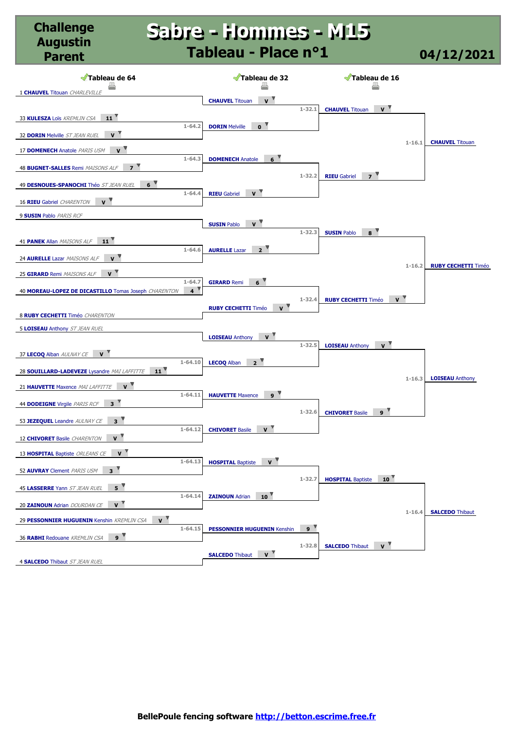#### **Sabre - Hommes - M15 Sabre - Hommes - M15 Tableau - Place n°1 04/12/2021**

**Challenge Augustin** 

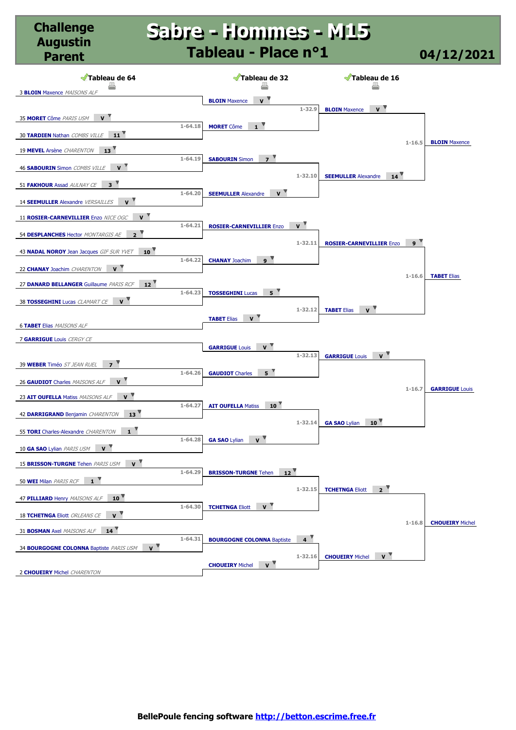#### **Sabre - Hommes - M15 Sabre - Hommes - M15 Tableau - Place n°1 04/12/2021**

**Challenge Augustin** 

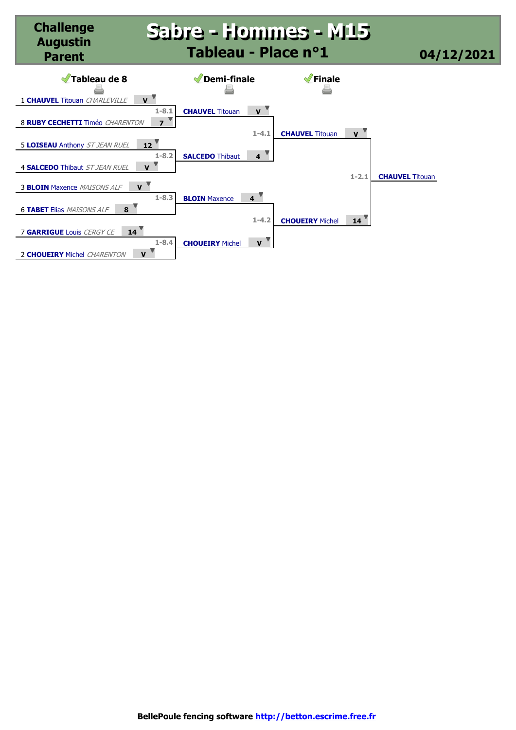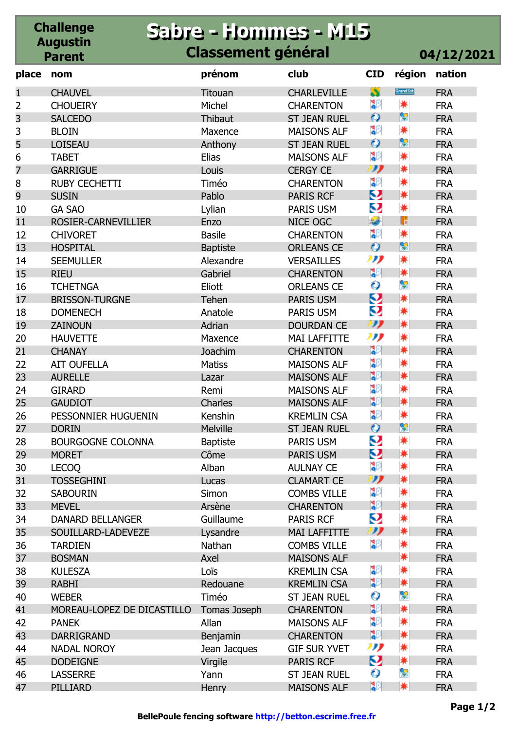#### **Challenge Augustin Parent Sabre - Hommes - M15 Sabre - Hommes - M15 Classement général 04/12/2021**

| place          | nom                        | prénom          | club                | <b>CID</b>          | région    | nation     |
|----------------|----------------------------|-----------------|---------------------|---------------------|-----------|------------|
| 1              | <b>CHAUVEL</b>             | Titouan         | <b>CHARLEVILLE</b>  | S                   | Grandlist | <b>FRA</b> |
| $\overline{2}$ | <b>CHOUEIRY</b>            | Michel          | <b>CHARENTON</b>    | ុះ                  | *         | <b>FRA</b> |
| 3              | <b>SALCEDO</b>             | Thibaut         | <b>ST JEAN RUEL</b> | $\bullet$           | P         | <b>FRA</b> |
| 3              | <b>BLOIN</b>               | Maxence         | <b>MAISONS ALF</b>  | 30                  | *         | <b>FRA</b> |
| 5              | <b>LOISEAU</b>             | Anthony         | <b>ST JEAN RUEL</b> | $\mathbf{o}$        | ę         | <b>FRA</b> |
| 6              | <b>TABET</b>               | <b>Elias</b>    | <b>MAISONS ALF</b>  | 30                  | *         | <b>FRA</b> |
| 7              | <b>GARRIGUE</b>            | Louis           | <b>CERGY CE</b>     | IJ                  | ☀         | <b>FRA</b> |
| 8              | <b>RUBY CECHETTI</b>       | Timéo           | <b>CHARENTON</b>    | 30                  | *         | <b>FRA</b> |
| 9              | <b>SUSIN</b>               | Pablo           | PARIS RCF           | Ø                   | ☀         | <b>FRA</b> |
| 10             | <b>GA SAO</b>              | Lylian          | PARIS USM           | Q                   | *         | <b>FRA</b> |
| 11             | ROSIER-CARNEVILLIER        | Enzo            | NICE OGC            | $\frac{1}{2}$       | B         | <b>FRA</b> |
| 12             | <b>CHIVORET</b>            | <b>Basile</b>   | <b>CHARENTON</b>    | 30                  | *         | <b>FRA</b> |
| 13             | <b>HOSPITAL</b>            | <b>Baptiste</b> | <b>ORLEANS CE</b>   | $\bullet$           | ę         | <b>FRA</b> |
| 14             | <b>SEEMULLER</b>           | Alexandre       | <b>VERSAILLES</b>   | תנו                 | *         | <b>FRA</b> |
| 15             | <b>RIEU</b>                | Gabriel         | <b>CHARENTON</b>    | 32                  | ☀         | <b>FRA</b> |
| 16             | <b>TCHETNGA</b>            | Eliott          | <b>ORLEANS CE</b>   | О                   | Ş         | <b>FRA</b> |
| 17             | <b>BRISSON-TURGNE</b>      | Tehen           | PARIS USM           | Ø                   | ☀         | <b>FRA</b> |
| 18             | <b>DOMENECH</b>            | Anatole         | PARIS USM           | Q                   | ☀         | <b>FRA</b> |
| 19             | <b>ZAINOUN</b>             | Adrian          | <b>DOURDAN CE</b>   | IJ                  | ☀         | <b>FRA</b> |
| 20             | <b>HAUVETTE</b>            | Maxence         | <b>MAI LAFFITTE</b> | תנו                 | ☀         | <b>FRA</b> |
| 21             | <b>CHANAY</b>              | Joachim         | <b>CHARENTON</b>    | 30                  | ☀         | <b>FRA</b> |
| 22             | <b>AIT OUFELLA</b>         | <b>Matiss</b>   | <b>MAISONS ALF</b>  | ္မွာ                | ☀         | <b>FRA</b> |
| 23             | <b>AURELLE</b>             | Lazar           | <b>MAISONS ALF</b>  | 32                  | 兼         | <b>FRA</b> |
| 24             | <b>GIRARD</b>              | Remi            | <b>MAISONS ALF</b>  | ္မွာ                | *         | <b>FRA</b> |
| 25             | <b>GAUDIOT</b>             | Charles         | <b>MAISONS ALF</b>  | 32                  | ☀         | <b>FRA</b> |
| 26             | PESSONNIER HUGUENIN        | Kenshin         | <b>KREMLIN CSA</b>  | ္မွာ                | ☀         | <b>FRA</b> |
| 27             | <b>DORIN</b>               | Melville        | <b>ST JEAN RUEL</b> | $\bullet$           | ę         | <b>FRA</b> |
| 28             | <b>BOURGOGNE COLONNA</b>   | <b>Baptiste</b> | PARIS USM           | Q                   | *         | <b>FRA</b> |
| 29             | <b>MORET</b>               | Côme            | <b>PARIS USM</b>    | Q                   | ☀         | <b>FRA</b> |
| 30             | <b>LECOQ</b>               | Alban           | <b>AULNAY CE</b>    | ុះ                  | *         | <b>FRA</b> |
| 31             | <b>TOSSEGHINI</b>          | Lucas           | <b>CLAMART CE</b>   | $\boldsymbol{\eta}$ | ☀         | <b>FRA</b> |
| 32             | <b>SABOURIN</b>            | <b>Simon</b>    | <b>COMBS VILLE</b>  | ္မွာ                | ☀         | <b>FRA</b> |
| 33             | <b>MEVEL</b>               | Arsène          | <b>CHARENTON</b>    | 32                  | ☀         | <b>FRA</b> |
| 34             | <b>DANARD BELLANGER</b>    | Guillaume       | <b>PARIS RCF</b>    | Q                   | *         | <b>FRA</b> |
| 35             | SOUILLARD-LADEVEZE         | Lysandre        | <b>MAI LAFFITTE</b> | IJ                  | ☀         | <b>FRA</b> |
| 36             | <b>TARDIEN</b>             | Nathan          | <b>COMBS VILLE</b>  | ္မွာ                | *         | <b>FRA</b> |
| 37             | <b>BOSMAN</b>              | Axel            | <b>MAISONS ALF</b>  |                     | ☀         | <b>FRA</b> |
| 38             | <b>KULESZA</b>             | Loïs            | <b>KREMLIN CSA</b>  | ៛                   | *         | <b>FRA</b> |
| 39             | <b>RABHI</b>               | Redouane        | <b>KREMLIN CSA</b>  | 32                  | ☀         | <b>FRA</b> |
| 40             | <b>WEBER</b>               | Timéo           | <b>ST JEAN RUEL</b> | О                   | ¥         | <b>FRA</b> |
| 41             | MOREAU-LOPEZ DE DICASTILLO | Tomas Joseph    | <b>CHARENTON</b>    | 30                  | ☀         | <b>FRA</b> |
| 42             | <b>PANEK</b>               | Allan           | <b>MAISONS ALF</b>  | ្នុ                 | *         | <b>FRA</b> |
| 43             | <b>DARRIGRAND</b>          | Benjamin        | <b>CHARENTON</b>    | 32                  | ☀         | <b>FRA</b> |
| 44             | <b>NADAL NOROY</b>         | Jean Jacques    | <b>GIF SUR YVET</b> | תנו                 | *         | <b>FRA</b> |
| 45             | <b>DODEIGNE</b>            | Virgile         | PARIS RCF           | Q                   | ☀         | <b>FRA</b> |
| 46             | <b>LASSERRE</b>            | Yann            | <b>ST JEAN RUEL</b> | О                   | ç         | <b>FRA</b> |
| 47             | PILLIARD                   | Henry           | <b>MAISONS ALF</b>  | 39                  | ☀         | <b>FRA</b> |
|                |                            |                 |                     |                     |           |            |